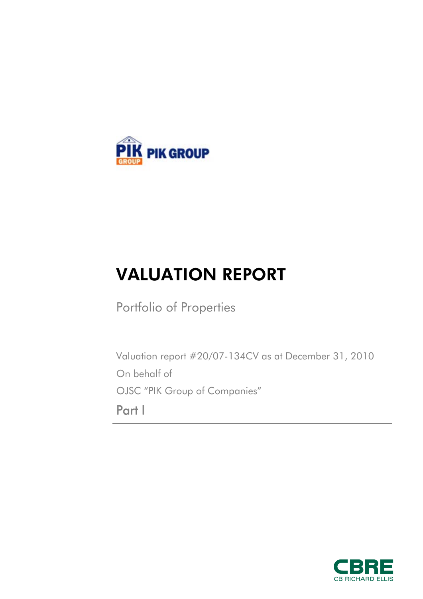

# VALUATION REPORT

Portfolio of Properties

Valuation report #20/07-134CV as at December 31, 2010 On behalf of OJSC "PIK Group of Companies" Part I

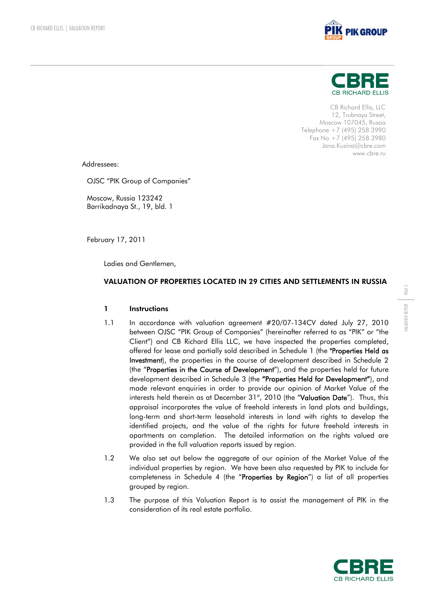



CB Richard Ellis, LLC 12, Trubnaya Street, Moscow 107045, Russia Telephone +7 (495) 258 3990 Fax No +7 (495) 258 3980 Jana.Kuzina@cbre.com www.cbre.ru

Addressees:

OJSC "PIK Group of Companies"

Moscow, Russia 123242 Barrikadnaya St., 19, bld. 1

February 17, 2011

Ladies and Gentlemen,

## VALUATION OF PROPERTIES LOCATED IN 29 CITIES AND SETTLEMENTS IN RUSSIA

## 1 Instructions

- 1.1 In accordance with valuation agreement #20/07-134CV dated July 27, 2010 between OJSC "PIK Group of Companies" (hereinafter referred to as "PIK" or "the Client") and CB Richard Ellis LLC, we have inspected the properties completed, offered for lease and partially sold described in Schedule 1 (the "Properties Held as Investment), the properties in the course of development described in Schedule 2 (the "Properties in the Course of Development"), and the properties held for future development described in Schedule 3 (the "Properties Held for Development"), and made relevant enquiries in order to provide our opinion of Market Value of the interests held therein as at December 31<sup>st</sup>, 2010 (the "Valuation Date"). Thus, this appraisal incorporates the value of freehold interests in land plots and buildings, long-term and short-term leasehold interests in land with rights to develop the identified projects, and the value of the rights for future freehold interests in apartments on completion. The detailed information on the rights valued are provided in the full valuation reports issued by region.
- 1.2 We also set out below the aggregate of our opinion of the Market Value of the individual properties by region. We have been also requested by PIK to include for completeness in Schedule 4 (the "Properties by Region") a list of all properties grouped by region.
- 1.3 The purpose of this Valuation Report is to assist the management of PIK in the consideration of its real estate portfolio.



VALUATION REPORT | PAGE 2 VALUATION REPORT

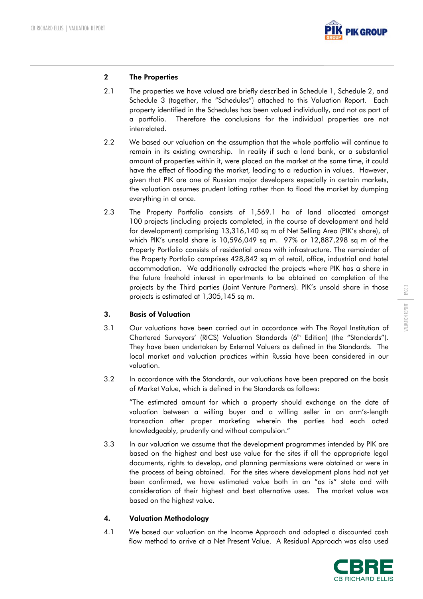

## 2 The Properties

- 2.1 The properties we have valued are briefly described in Schedule 1, Schedule 2, and Schedule 3 (together, the "Schedules") attached to this Valuation Report. Each property identified in the Schedules has been valued individually, and not as part of a portfolio. Therefore the conclusions for the individual properties are not interrelated.
- 2.2 We based our valuation on the assumption that the whole portfolio will continue to remain in its existing ownership. In reality if such a land bank, or a substantial amount of properties within it, were placed on the market at the same time, it could have the effect of flooding the market, leading to a reduction in values. However, given that PIK are one of Russian major developers especially in certain markets, the valuation assumes prudent lotting rather than to flood the market by dumping everything in at once.
- 2.3 The Property Portfolio consists of 1,569.1 ha of land allocated amongst 100 projects (including projects completed, in the course of development and held for development) comprising 13,316,140 sq m of Net Selling Area (PIK's share), of which PIK's unsold share is 10,596,049 sq m. 97% or 12,887,298 sq m of the Property Portfolio consists of residential areas with infrastructure. The remainder of the Property Portfolio comprises 428,842 sq m of retail, office, industrial and hotel accommodation. We additionally extracted the projects where PIK has a share in the future freehold interest in apartments to be obtained on completion of the projects by the Third parties (Joint Venture Partners). PIK's unsold share in those projects is estimated at 1,305,145 sq m.

## 3. Basis of Valuation

- 3.1 Our valuations have been carried out in accordance with The Royal Institution of Chartered Surveyors' (RICS) Valuation Standards (6<sup>th</sup> Edition) (the "Standards"). They have been undertaken by External Valuers as defined in the Standards. The local market and valuation practices within Russia have been considered in our valuation.
- 3.2 In accordance with the Standards, our valuations have been prepared on the basis of Market Value, which is defined in the Standards as follows:

"The estimated amount for which a property should exchange on the date of valuation between a willing buyer and a willing seller in an arm's-length transaction after proper marketing wherein the parties had each acted knowledgeably, prudently and without compulsion."

3.3 In our valuation we assume that the development programmes intended by PIK are based on the highest and best use value for the sites if all the appropriate legal documents, rights to develop, and planning permissions were obtained or were in the process of being obtained. For the sites where development plans had not yet been confirmed, we have estimated value both in an "as is" state and with consideration of their highest and best alternative uses. The market value was based on the highest value.

# 4. Valuation Methodology

4.1 We based our valuation on the Income Approach and adopted a discounted cash flow method to arrive at a Net Present Value. A Residual Approach was also used



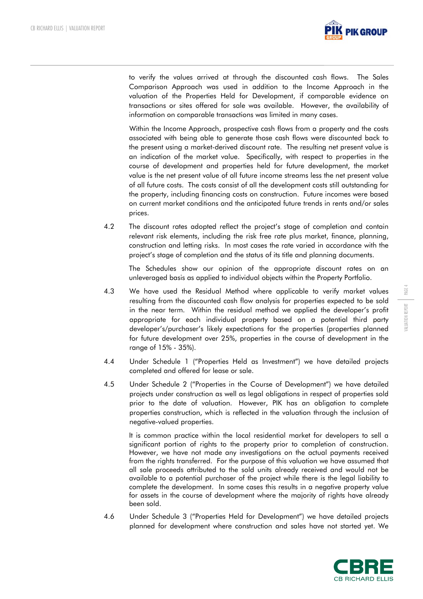

to verify the values arrived at through the discounted cash flows. The Sales Comparison Approach was used in addition to the Income Approach in the valuation of the Properties Held for Development, if comparable evidence on transactions or sites offered for sale was available. However, the availability of information on comparable transactions was limited in many cases.

Within the Income Approach, prospective cash flows from a property and the costs associated with being able to generate those cash flows were discounted back to the present using a market-derived discount rate. The resulting net present value is an indication of the market value. Specifically, with respect to properties in the course of development and properties held for future development, the market value is the net present value of all future income streams less the net present value of all future costs. The costs consist of all the development costs still outstanding for the property, including financing costs on construction. Future incomes were based on current market conditions and the anticipated future trends in rents and/or sales prices.

4.2 The discount rates adopted reflect the project's stage of completion and contain relevant risk elements, including the risk free rate plus market, finance, planning, construction and letting risks. In most cases the rate varied in accordance with the project's stage of completion and the status of its title and planning documents.

 The Schedules show our opinion of the appropriate discount rates on an unleveraged basis as applied to individual objects within the Property Portfolio.

- 4.3 We have used the Residual Method where applicable to verify market values resulting from the discounted cash flow analysis for properties expected to be sold in the near term. Within the residual method we applied the developer's profit appropriate for each individual property based on a potential third party developer's/purchaser's likely expectations for the properties (properties planned for future development over 25%, properties in the course of development in the range of 15% - 35%).
- 4.4 Under Schedule 1 ("Properties Held as Investment") we have detailed projects completed and offered for lease or sale.
- 4.5 Under Schedule 2 ("Properties in the Course of Development") we have detailed projects under construction as well as legal obligations in respect of properties sold prior to the date of valuation. However, PIK has an obligation to complete properties construction, which is reflected in the valuation through the inclusion of negative-valued properties.

It is common practice within the local residential market for developers to sell a significant portion of rights to the property prior to completion of construction. However, we have not made any investigations on the actual payments received from the rights transferred. For the purpose of this valuation we have assumed that all sale proceeds attributed to the sold units already received and would not be available to a potential purchaser of the project while there is the legal liability to complete the development. In some cases this results in a negative property value for assets in the course of development where the majority of rights have already been sold.

4.6 Under Schedule 3 ("Properties Held for Development") we have detailed projects planned for development where construction and sales have not started yet. We

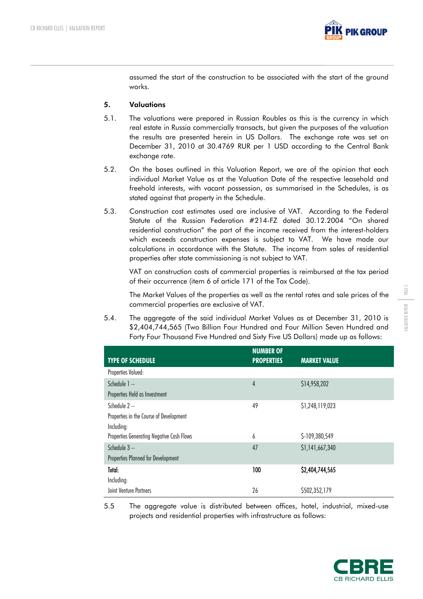

assumed the start of the construction to be associated with the start of the ground works.

## 5. Valuations

- 5.1. The valuations were prepared in Russian Roubles as this is the currency in which real estate in Russia commercially transacts, but given the purposes of the valuation the results are presented herein in US Dollars. The exchange rate was set on December 31, 2010 at 30.4769 RUR per 1 USD according to the Central Bank exchange rate.
- 5.2. On the bases outlined in this Valuation Report, we are of the opinion that each individual Market Value as at the Valuation Date of the respective leasehold and freehold interests, with vacant possession, as summarised in the Schedules, is as stated against that property in the Schedule.
- 5.3. Construction cost estimates used are inclusive of VAT. According to the Federal Statute of the Russian Federation #214-FZ dated 30.12.2004 "On shared residential construction" the part of the income received from the interest-holders which exceeds construction expenses is subject to VAT. We have made our calculations in accordance with the Statute. The income from sales of residential properties after state commissioning is not subject to VAT.

VAT on construction costs of commercial properties is reimbursed at the tax period of their occurrence (item 6 of article 171 of the Tax Code).

The Market Values of the properties as well as the rental rates and sale prices of the commercial properties are exclusive of VAT.

5.4. The aggregate of the said individual Market Values as at December 31, 2010 is \$2,404,744,565 (Two Billion Four Hundred and Four Million Seven Hundred and Forty Four Thousand Five Hundred and Sixty Five US Dollars) made up as follows:

| <b>TYPE OF SCHEDULE</b>                   | <b>NUMBER OF</b><br><b>PROPERTIES</b> | <b>MARKET VALUE</b> |
|-------------------------------------------|---------------------------------------|---------------------|
| Properties Valued:                        |                                       |                     |
| Schedule 1-                               | $\overline{4}$                        | \$14,958,202        |
| Properties Held as Investment             |                                       |                     |
| Schedule $2-$                             | 49                                    | \$1,248,119,023     |
| Properties in the Course of Development   |                                       |                     |
| Including:                                |                                       |                     |
| Properties Generating Negative Cash Flows | 6                                     | \$-109,380,549      |
| Schedule $3-$                             | 47                                    | \$1,141,667,340     |
| Properties Planned for Development        |                                       |                     |
| Total:                                    | 100                                   | \$2,404,744,565     |
| Including:                                |                                       |                     |
| <b>Joint Venture Partners</b>             | 26                                    | \$502,352,179       |

5.5 The aggregate value is distributed between offices, hotel, industrial, mixed-use projects and residential properties with infrastructure as follows:

PAGE 5

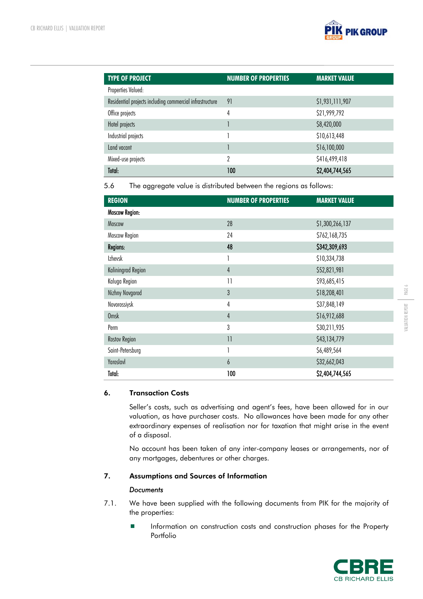

| <b>TYPE OF PROJECT</b>                                   | <b>NUMBER OF PROPERTIES</b> | <b>MARKET VALUE</b> |
|----------------------------------------------------------|-----------------------------|---------------------|
| Properties Valued:                                       |                             |                     |
| Residential projects including commercial infrastructure | 91                          | \$1,931,111,907     |
| Office projects                                          | 4                           | \$21,999,792        |
| Hotel projects                                           |                             | \$8,420,000         |
| Industrial projects                                      |                             | \$10,613,448        |
| Land vacant                                              |                             | \$16,100,000        |
| Mixed-use projects                                       | 2                           | \$416,499,418       |
| Total:                                                   | 100                         | \$2,404,744,565     |

5.6 The aggregate value is distributed between the regions as follows:

| <b>REGION</b>         | <b>NUMBER OF PROPERTIES</b> | <b>MARKET VALUE</b> |
|-----------------------|-----------------------------|---------------------|
| <b>Moscow Region:</b> |                             |                     |
| Moscow                | 28                          | \$1,300,266,137     |
| Moscow Region         | 24                          | \$762,168,735       |
| Regions:              | 48                          | \$342,309,693       |
| <b>Izhevsk</b>        | 1                           | \$10,334,738        |
| Kaliningrad Region    | $\overline{4}$              | \$52,821,981        |
| Kaluga Region         | $\overline{11}$             | \$93,685,415        |
| Nizhny Novgorod       | 3                           | \$18,208,401        |
| Novorossiysk          | 4                           | \$37,848,149        |
| <b>Omsk</b>           | $\overline{4}$              | \$16,912,688        |
| Perm                  | 3                           | \$30,211,935        |
| Rostov Region         | $\overline{11}$             | \$43,134,779        |
| Saint-Petersburg      | 1                           | \$6,489,564         |
| Yaroslavl             | $\boldsymbol{6}$            | \$32,662,043        |
| Total:                | 100                         | \$2,404,744,565     |

## 6. Transaction Costs

Seller's costs, such as advertising and agent's fees, have been allowed for in our valuation, as have purchaser costs. No allowances have been made for any other extraordinary expenses of realisation nor for taxation that might arise in the event of a disposal.

No account has been taken of any inter-company leases or arrangements, nor of any mortgages, debentures or other charges.

# 7. Assumptions and Sources of Information

## *Documents*

- 7.1. We have been supplied with the following documents from PIK for the majority of the properties:
	- **Information on construction costs and construction phases for the Property** Portfolio

PAGE 6

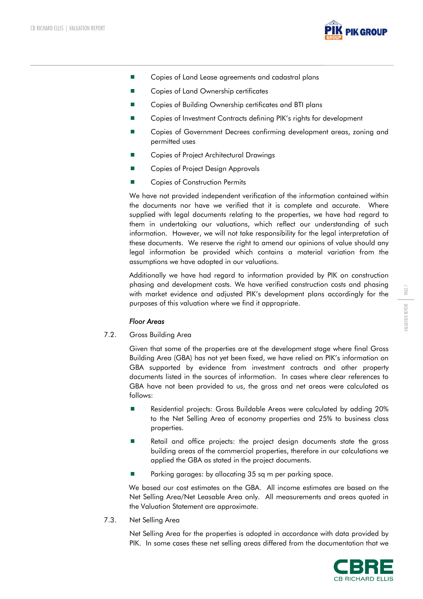

- Copies of Land Lease agreements and cadastral plans
- Copies of Land Ownership certificates
- Copies of Building Ownership certificates and BTI plans
- Copies of Investment Contracts defining PIK's rights for development
- Copies of Government Decrees confirming development areas, zoning and permitted uses
- Copies of Project Architectural Drawings
- Copies of Project Design Approvals
- Copies of Construction Permits

We have not provided independent verification of the information contained within the documents nor have we verified that it is complete and accurate. Where supplied with legal documents relating to the properties, we have had regard to them in undertaking our valuations, which reflect our understanding of such information. However, we will not take responsibility for the legal interpretation of these documents. We reserve the right to amend our opinions of value should any legal information be provided which contains a material variation from the assumptions we have adopted in our valuations.

Additionally we have had regard to information provided by PIK on construction phasing and development costs. We have verified construction costs and phasing with market evidence and adjusted PIK's development plans accordingly for the purposes of this valuation where we find it appropriate.

#### *Floor Areas*

7.2. Gross Building Area

Given that some of the properties are at the development stage where final Gross Building Area (GBA) has not yet been fixed, we have relied on PIK's information on GBA supported by evidence from investment contracts and other property documents listed in the sources of information. In cases where clear references to GBA have not been provided to us, the gross and net areas were calculated as follows:

- Residential projects: Gross Buildable Areas were calculated by adding 20% to the Net Selling Area of economy properties and 25% to business class properties.
- Retail and office projects: the project design documents state the gross building areas of the commercial properties, therefore in our calculations we applied the GBA as stated in the project documents.
- Parking garages: by allocating 35 sq m per parking space.

We based our cost estimates on the GBA. All income estimates are based on the Net Selling Area/Net Leasable Area only. All measurements and areas quoted in the Valuation Statement are approximate.

7.3. Net Selling Area

Net Selling Area for the properties is adopted in accordance with data provided by PIK. In some cases these net selling areas differed from the documentation that we

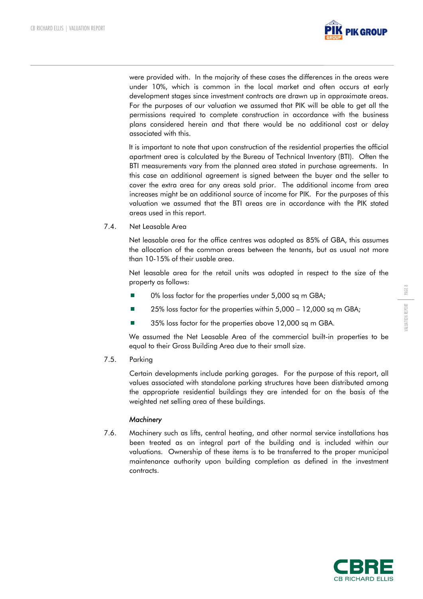

were provided with. In the majority of these cases the differences in the areas were under 10%, which is common in the local market and often occurs at early development stages since investment contracts are drawn up in approximate areas. For the purposes of our valuation we assumed that PIK will be able to get all the permissions required to complete construction in accordance with the business plans considered herein and that there would be no additional cost or delay associated with this.

It is important to note that upon construction of the residential properties the official apartment area is calculated by the Bureau of Technical Inventory (BTI). Often the BTI measurements vary from the planned area stated in purchase agreements. In this case an additional agreement is signed between the buyer and the seller to cover the extra area for any areas sold prior. The additional income from area increases might be an additional source of income for PIK. For the purposes of this valuation we assumed that the BTI areas are in accordance with the PIK stated areas used in this report.

7.4. Net Leasable Area

Net leasable area for the office centres was adopted as 85% of GBA, this assumes the allocation of the common areas between the tenants, but as usual not more than 10-15% of their usable area.

Net leasable area for the retail units was adopted in respect to the size of the property as follows:

- 0% loss factor for the properties under 5,000 sq m GBA;
- 25% loss factor for the properties within 5,000 12,000 sq m GBA;
- 35% loss factor for the properties above 12,000 sq m GBA.

We assumed the Net Leasable Area of the commercial built-in properties to be equal to their Gross Building Area due to their small size.

7.5. Parking

Certain developments include parking garages. For the purpose of this report, all values associated with standalone parking structures have been distributed among the appropriate residential buildings they are intended for on the basis of the weighted net selling area of these buildings.

## *Machinery*

7.6. Machinery such as lifts, central heating, and other normal service installations has been treated as an integral part of the building and is included within our valuations. Ownership of these items is to be transferred to the proper municipal maintenance authority upon building completion as defined in the investment contracts.



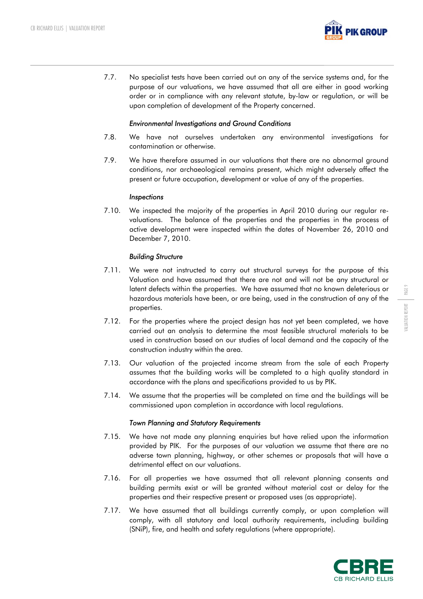

7.7. No specialist tests have been carried out on any of the service systems and, for the purpose of our valuations, we have assumed that all are either in good working order or in compliance with any relevant statute, by-law or regulation, or will be upon completion of development of the Property concerned.

## *Environmental Investigations and Ground Conditions*

- 7.8. We have not ourselves undertaken any environmental investigations for contamination or otherwise.
- 7.9. We have therefore assumed in our valuations that there are no abnormal ground conditions, nor archaeological remains present, which might adversely affect the present or future occupation, development or value of any of the properties.

#### *Inspections*

7.10. We inspected the majority of the properties in April 2010 during our regular revaluations. The balance of the properties and the properties in the process of active development were inspected within the dates of November 26, 2010 and December 7, 2010.

## *Building Structure*

- 7.11. We were not instructed to carry out structural surveys for the purpose of this Valuation and have assumed that there are not and will not be any structural or latent defects within the properties. We have assumed that no known deleterious or hazardous materials have been, or are being, used in the construction of any of the properties.
- 7.12. For the properties where the project design has not yet been completed, we have carried out an analysis to determine the most feasible structural materials to be used in construction based on our studies of local demand and the capacity of the construction industry within the area.
- 7.13. Our valuation of the projected income stream from the sale of each Property assumes that the building works will be completed to a high quality standard in accordance with the plans and specifications provided to us by PIK.
- 7.14. We assume that the properties will be completed on time and the buildings will be commissioned upon completion in accordance with local regulations.

## *Town Planning and Statutory Requirements*

- 7.15. We have not made any planning enquiries but have relied upon the information provided by PIK. For the purposes of our valuation we assume that there are no adverse town planning, highway, or other schemes or proposals that will have a detrimental effect on our valuations.
- 7.16. For all properties we have assumed that all relevant planning consents and building permits exist or will be granted without material cost or delay for the properties and their respective present or proposed uses (as appropriate).
- 7.17. We have assumed that all buildings currently comply, or upon completion will comply, with all statutory and local authority requirements, including building (SNiP), fire, and health and safety regulations (where appropriate).

PAGE 9

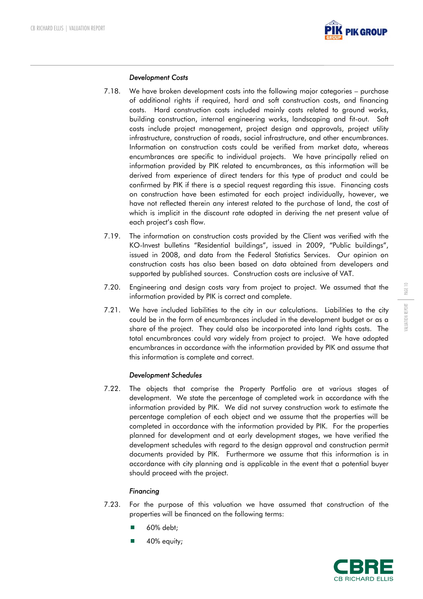

## *Development Costs*

- 7.18. We have broken development costs into the following major categories purchase of additional rights if required, hard and soft construction costs, and financing costs. Hard construction costs included mainly costs related to ground works, building construction, internal engineering works, landscaping and fit-out. Soft costs include project management, project design and approvals, project utility infrastructure, construction of roads, social infrastructure, and other encumbrances. Information on construction costs could be verified from market data, whereas encumbrances are specific to individual projects. We have principally relied on information provided by PIK related to encumbrances, as this information will be derived from experience of direct tenders for this type of product and could be confirmed by PIK if there is a special request regarding this issue. Financing costs on construction have been estimated for each project individually, however, we have not reflected therein any interest related to the purchase of land, the cost of which is implicit in the discount rate adopted in deriving the net present value of each project's cash flow.
- 7.19. The information on construction costs provided by the Client was verified with the KO-Invest bulletins "Residential buildings", issued in 2009, "Public buildings", issued in 2008, and data from the Federal Statistics Services. Our opinion on construction costs has also been based on data obtained from developers and supported by published sources. Construction costs are inclusive of VAT.
- 7.20. Engineering and design costs vary from project to project. We assumed that the information provided by PIK is correct and complete.
- 7.21. We have included liabilities to the city in our calculations. Liabilities to the city could be in the form of encumbrances included in the development budget or as a share of the project. They could also be incorporated into land rights costs. The total encumbrances could vary widely from project to project. We have adopted encumbrances in accordance with the information provided by PIK and assume that this information is complete and correct.

## *Development Schedules*

7.22. The objects that comprise the Property Portfolio are at various stages of development. We state the percentage of completed work in accordance with the information provided by PIK. We did not survey construction work to estimate the percentage completion of each object and we assume that the properties will be completed in accordance with the information provided by PIK. For the properties planned for development and at early development stages, we have verified the development schedules with regard to the design approval and construction permit documents provided by PIK. Furthermore we assume that this information is in accordance with city planning and is applicable in the event that a potential buyer should proceed with the project.

## *Financing*

- 7.23. For the purpose of this valuation we have assumed that construction of the properties will be financed on the following terms:
	- 60% debt;
	- 40% equity;

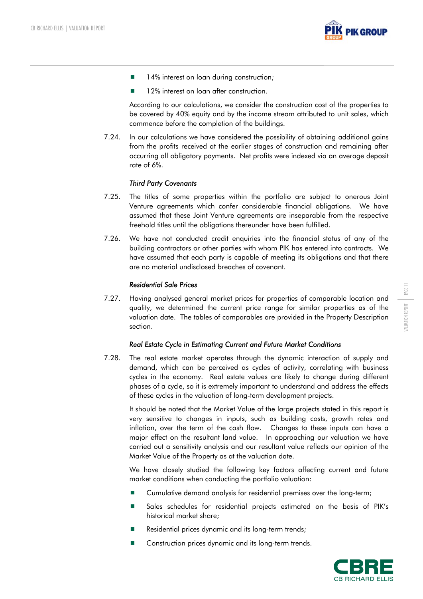

- 14% interest on loan during construction;
- **12% interest on loan after construction.**

According to our calculations, we consider the construction cost of the properties to be covered by 40% equity and by the income stream attributed to unit sales, which commence before the completion of the buildings.

7.24. In our calculations we have considered the possibility of obtaining additional gains from the profits received at the earlier stages of construction and remaining after occurring all obligatory payments. Net profits were indexed via an average deposit rate of 6%.

## *Third Party Covenants*

- 7.25. The titles of some properties within the portfolio are subject to onerous Joint Venture agreements which confer considerable financial obligations. We have assumed that these Joint Venture agreements are inseparable from the respective freehold titles until the obligations thereunder have been fulfilled.
- 7.26. We have not conducted credit enquiries into the financial status of any of the building contractors or other parties with whom PIK has entered into contracts. We have assumed that each party is capable of meeting its obligations and that there are no material undisclosed breaches of covenant.

#### *Residential Sale Prices*

7.27. Having analysed general market prices for properties of comparable location and quality, we determined the current price range for similar properties as of the valuation date. The tables of comparables are provided in the Property Description section.

#### *Real Estate Cycle in Estimating Current and Future Market Conditions*

7.28. The real estate market operates through the dynamic interaction of supply and demand, which can be perceived as cycles of activity, correlating with business cycles in the economy. Real estate values are likely to change during different phases of a cycle, so it is extremely important to understand and address the effects of these cycles in the valuation of long-term development projects.

It should be noted that the Market Value of the large projects stated in this report is very sensitive to changes in inputs, such as building costs, growth rates and inflation, over the term of the cash flow. Changes to these inputs can have a major effect on the resultant land value. In approaching our valuation we have carried out a sensitivity analysis and our resultant value reflects our opinion of the Market Value of the Property as at the valuation date.

We have closely studied the following key factors affecting current and future market conditions when conducting the portfolio valuation:

- Cumulative demand analysis for residential premises over the long-term;
- Sales schedules for residential projects estimated on the basis of PIK's historical market share;
- Residential prices dynamic and its long-term trends;
- Construction prices dynamic and its long-term trends.



PAGE 11

VALUATION REPORT

VALUATION REPORT

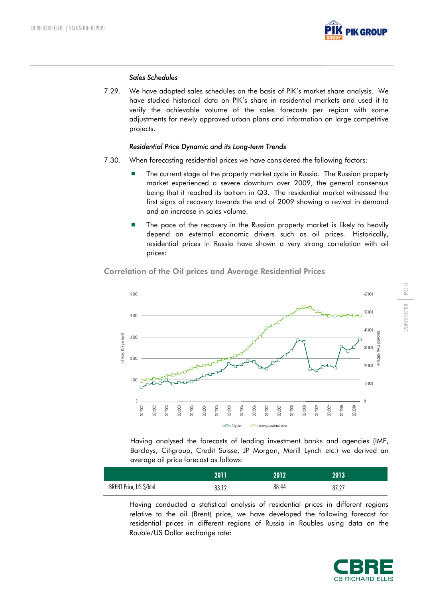

## *Sales Schedules*

7.29. We have adopted sales schedules on the basis of PIK's market share analysis. We have studied historical data on PIK's share in residential markets and used it to verify the achievable volume of the sales forecasts per region with some adjustments for newly approved urban plans and information on large competitive projects.

#### *Residential Price Dynamic and its Long-term Trends*

- 7.30. When forecasting residential prices we have considered the following factors:
	- **The current stage of the property market cycle in Russia. The Russian property** market experienced a severe downturn over 2009, the general consensus being that it reached its bottom in Q3. The residential market witnessed the first signs of recovery towards the end of 2009 showing a revival in demand and an increase in sales volume.
	- **The pace of the recovery in the Russian property market is likely to heavily** depend on external economic drivers such as oil prices. Historically, residential prices in Russia have shown a very strong correlation with oil prices:

5 000 60,000 50 000 4 000 40 000 Residential Prices, RUR/sq m esidential Price Oil Prices, RUR per barrel Oil Prices, RUR per barrel 3 000 30 000 и і жили 2,000 20 000 1 000 10 000 0  $\mathfrak{c}$ Q1 2002 Q3 2010 Q3 2002 Q1 2003 Q3 2003 11 2004 Q3 2004 11 2005 Q3 2005 Q1 2006 Q3 2006 Q1 2007 Q1 2008 Q3 2008 Q1 2009 Q3 2009 11 2010 Q3 2007 -O-Oil prices - - Average residential prices

Correlation of the Oil prices and Average Residential Prices

Having analysed the forecasts of leading investment banks and agencies (IMF, Barclays, Citigroup, Credit Suisse, JP Morgan, Merill Lynch etc.) we derived an average oil price forecast as follows:

|                         | 2011  | 2012  | 2013  |
|-------------------------|-------|-------|-------|
| BRENT Price, US \$/bbrl | 83.12 | 88.44 | 87.27 |

Having conducted a statistical analysis of residential prices in different regions relative to the oil (Brent) price, we have developed the following forecast for residential prices in different regions of Russia in Roubles using data on the Rouble/US Dollar exchange rate:



PAGE 12 VALUATION REPORT VALUATION REPORT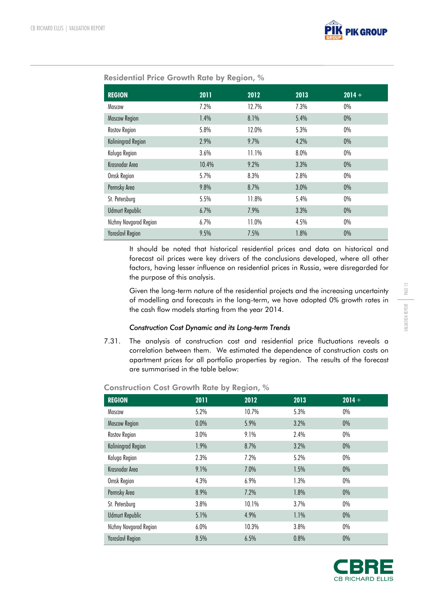

| <b>REGION</b>             | 2011  | 2012  | 2013 | $2014 +$ |
|---------------------------|-------|-------|------|----------|
| Moscow                    | 7.2%  | 12.7% | 7.3% | $0\%$    |
| <b>Moscow Region</b>      | 1.4%  | 8.1%  | 5.4% | $0\%$    |
| Rostov Region             | 5.8%  | 12.0% | 5.3% | $0\%$    |
| <b>Kaliningrad Region</b> | 2.9%  | 9.7%  | 4.2% | $0\%$    |
| Kaluga Region             | 3.6%  | 11.1% | 8.0% | $0\%$    |
| Krasnodar Area            | 10.4% | 9.2%  | 3.3% | $0\%$    |
| Omsk Region               | 5.7%  | 8.3%  | 2.8% | $0\%$    |
| Permsky Area              | 9.8%  | 8.7%  | 3.0% | $0\%$    |
| St. Petersburg            | 5.5%  | 11.8% | 5.4% | $0\%$    |
| <b>Udmurt Republic</b>    | 6.7%  | 7.9%  | 3.3% | $0\%$    |
| Nizhny Novgorod Region    | 6.7%  | 11.0% | 4.5% | $0\%$    |
| <b>Yaroslavl Region</b>   | 9.5%  | 7.5%  | 1.8% | $0\%$    |

# Residential Price Growth Rate by Region, %

It should be noted that historical residential prices and data on historical and forecast oil prices were key drivers of the conclusions developed, where all other factors, having lesser influence on residential prices in Russia, were disregarded for the purpose of this analysis.

Given the long-term nature of the residential projects and the increasing uncertainty of modelling and forecasts in the long-term, we have adopted 0% growth rates in the cash flow models starting from the year 2014.

## *Construction Cost Dynamic and its Long-term Trends*

7.31. The analysis of construction cost and residential price fluctuations reveals a correlation between them. We estimated the dependence of construction costs on apartment prices for all portfolio properties by region. The results of the forecast are summarised in the table below:

| <b>REGION</b>           | 2011 | 2012  | 2013 | $2014 +$ |
|-------------------------|------|-------|------|----------|
| Moscow                  | 5.2% | 10.7% | 5.3% | $0\%$    |
| <b>Moscow Region</b>    | 0.0% | 5.9%  | 3.2% | $0\%$    |
| Rostov Region           | 3.0% | 9.1%  | 2.4% | $0\%$    |
| Kaliningrad Region      | 1.9% | 8.7%  | 3.2% | $0\%$    |
| Kaluga Region           | 2.3% | 7.2%  | 5.2% | 0%       |
| Krasnodar Area          | 9.1% | 7.0%  | 1.5% | $0\%$    |
| Omsk Region             | 4.3% | 6.9%  | 1.3% | $0\%$    |
| Permsky Area            | 8.9% | 7.2%  | 1.8% | $0\%$    |
| St. Petersburg          | 3.8% | 10.1% | 3.7% | 0%       |
| <b>Udmurt Republic</b>  | 5.1% | 4.9%  | 1.1% | 0%       |
| Nizhny Novgorod Region  | 6.0% | 10.3% | 3.8% | $0\%$    |
| <b>Yaroslavl Region</b> | 8.5% | 6.5%  | 0.8% | 0%       |

#### Construction Cost Growth Rate by Region, %

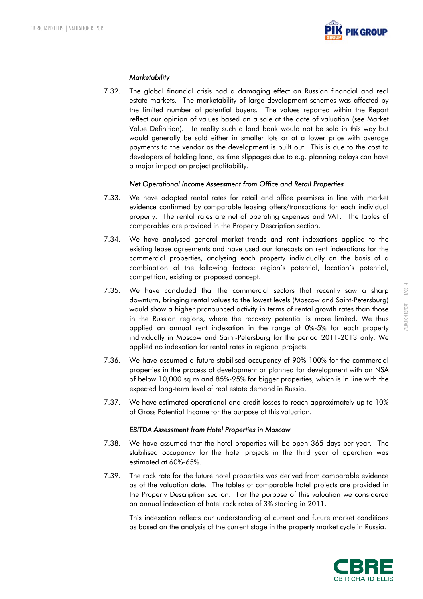

## *Marketability*

7.32. The global financial crisis had a damaging effect on Russian financial and real estate markets. The marketability of large development schemes was affected by the limited number of potential buyers. The values reported within the Report reflect our opinion of values based on a sale at the date of valuation (see Market Value Definition). In reality such a land bank would not be sold in this way but would generally be sold either in smaller lots or at a lower price with overage payments to the vendor as the development is built out. This is due to the cost to developers of holding land, as time slippages due to e.g. planning delays can have a major impact on project profitability.

## *Net Operational Income Assessment from Office and Retail Properties*

- 7.33. We have adopted rental rates for retail and office premises in line with market evidence confirmed by comparable leasing offers/transactions for each individual property. The rental rates are net of operating expenses and VAT. The tables of comparables are provided in the Property Description section.
- 7.34. We have analysed general market trends and rent indexations applied to the existing lease agreements and have used our forecasts on rent indexations for the commercial properties, analysing each property individually on the basis of a combination of the following factors: region's potential, location's potential, competition, existing or proposed concept.
- 7.35. We have concluded that the commercial sectors that recently saw a sharp downturn, bringing rental values to the lowest levels (Moscow and Saint-Petersburg) would show a higher pronounced activity in terms of rental growth rates than those in the Russian regions, where the recovery potential is more limited. We thus applied an annual rent indexation in the range of 0%-5% for each property individually in Moscow and Saint-Petersburg for the period 2011-2013 only. We applied no indexation for rental rates in regional projects.
- 7.36. We have assumed a future stabilised occupancy of 90%-100% for the commercial properties in the process of development or planned for development with an NSA of below 10,000 sq m and 85%-95% for bigger properties, which is in line with the expected long-term level of real estate demand in Russia.
- 7.37. We have estimated operational and credit losses to reach approximately up to 10% of Gross Potential Income for the purpose of this valuation.

## *EBITDA Assessment from Hotel Properties in Moscow*

- 7.38. We have assumed that the hotel properties will be open 365 days per year. The stabilised occupancy for the hotel projects in the third year of operation was estimated at 60%-65%.
- 7.39. The rack rate for the future hotel properties was derived from comparable evidence as of the valuation date. The tables of comparable hotel projects are provided in the Property Description section. For the purpose of this valuation we considered an annual indexation of hotel rack rates of 3% starting in 2011.

This indexation reflects our understanding of current and future market conditions as based on the analysis of the current stage in the property market cycle in Russia.

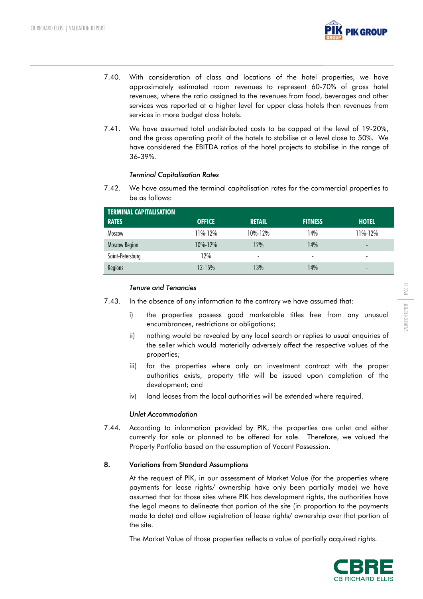

- 7.40. With consideration of class and locations of the hotel properties, we have approximately estimated room revenues to represent 60-70% of gross hotel revenues, where the ratio assigned to the revenues from food, beverages and other services was reported at a higher level for upper class hotels than revenues from services in more budget class hotels.
- 7.41. We have assumed total undistributed costs to be capped at the level of 19-20%, and the gross operating profit of the hotels to stabilise at a level close to 50%. We have considered the EBITDA ratios of the hotel projects to stabilise in the range of 36-39%.

## *Terminal Capitalisation Rates*

7.42. We have assumed the terminal capitalisation rates for the commercial properties to be as follows:

| <b>TERMINAL CAPITALISATION</b><br><b>RATES</b> | <b>OFFICE</b> | <b>RETAIL</b> | <b>FITNESS</b> | <b>HOTEL</b>             |
|------------------------------------------------|---------------|---------------|----------------|--------------------------|
| Moscow                                         | 11%-12%       | $10\% - 12\%$ | 14%            | 11%-12%                  |
| Moscow Region                                  | $10\% - 12\%$ | 12%           | 14%            | $\overline{\phantom{0}}$ |
| Saint-Petersburg                               | 12%           | ٠             |                | ٠                        |
| Regions                                        | $12 - 15%$    | 13%           | 14%            | $\overline{\phantom{0}}$ |

## *Tenure and Tenancies*

- 7.43. In the absence of any information to the contrary we have assumed that:
	- i) the properties possess good marketable titles free from any unusual encumbrances, restrictions or obligations;
	- ii) nothing would be revealed by any local search or replies to usual enquiries of the seller which would materially adversely affect the respective values of the properties;
	- iii) for the properties where only an investment contract with the proper authorities exists, property title will be issued upon completion of the development; and
	- iv) land leases from the local authorities will be extended where required.

## *Unlet Accommodation*

7.44. According to information provided by PIK, the properties are unlet and either currently for sale or planned to be offered for sale. Therefore, we valued the Property Portfolio based on the assumption of Vacant Possession.

## 8. Variations from Standard Assumptions

At the request of PIK, in our assessment of Market Value (for the properties where payments for lease rights/ ownership have only been partially made) we have assumed that for those sites where PIK has development rights, the authorities have the legal means to delineate that portion of the site (in proportion to the payments made to date) and allow registration of lease rights/ ownership over that portion of the site.

The Market Value of those properties reflects a value of partially acquired rights.

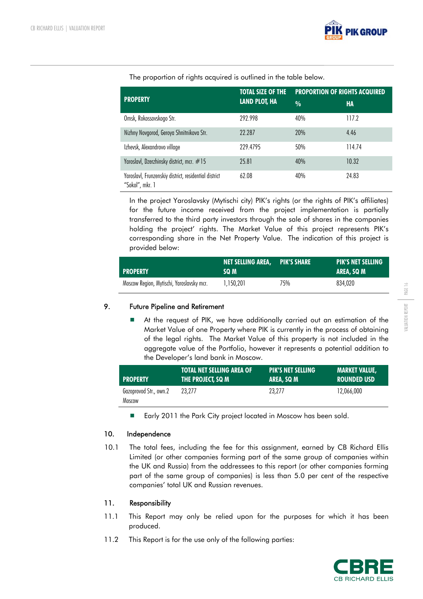

The proportion of rights acquired is outlined in the table below.

|                                                                          | <b>TOTAL SIZE OF THE</b> | <b>PROPORTION OF RIGHTS ACQUIRED</b> |        |  |  |  |  |  |
|--------------------------------------------------------------------------|--------------------------|--------------------------------------|--------|--|--|--|--|--|
| <b>PROPERTY</b>                                                          | <b>LAND PLOT, HA</b>     | $\frac{0}{0}$                        | HA     |  |  |  |  |  |
| Omsk, Rokossovskogo Str.                                                 | 292.998                  | 40%                                  | 117.2  |  |  |  |  |  |
| Nizhny Novgorod, Geroya Shnitnikova Str.                                 | 22.287                   | 20%                                  | 4.46   |  |  |  |  |  |
| Izhevsk, Alexandrovo village                                             | 229.4795                 | 50%                                  | 114.74 |  |  |  |  |  |
| Yaroslavl, Dzerzhinsky district, mcr. #15                                | 25.81                    | 40%                                  | 10.32  |  |  |  |  |  |
| Yaroslavl, Frunzenskiy district, residential district<br>"Sokol", mkr. 1 | 62.08                    | 40%                                  | 24.83  |  |  |  |  |  |

In the project Yaroslavsky (Mytischi city) PIK's rights (or the rights of PIK's affiliates) for the future income received from the project implementation is partially transferred to the third party investors through the sale of shares in the companies holding the project' rights. The Market Value of this project represents PIK's corresponding share in the Net Property Value. The indication of this project is provided below:

| <b>PROPERTY</b>                           | <b>NET SELLING AREA, PIK'S SHARE</b><br>SQ M |     | <b>PIK'S NET SELLING</b><br>AREA, SQ M |
|-------------------------------------------|----------------------------------------------|-----|----------------------------------------|
| Moscow Region, Mytischi, Yaroslavsky mcr. | 1.150.201                                    | 75% | 834.020                                |

# 9. Future Pipeline and Retirement

 At the request of PIK, we have additionally carried out an estimation of the Market Value of one Property where PIK is currently in the process of obtaining of the legal rights. The Market Value of this property is not included in the aggregate value of the Portfolio, however it represents a potential addition to the Developer's land bank in Moscow.

| <b>PROPERTY</b>                  | TOTAL NET SELLING AREA OF | <b>PIK'S NET SELLING</b> | <b>MARKET VALUE.</b> |
|----------------------------------|---------------------------|--------------------------|----------------------|
|                                  | THE PROJECT, SQ M         | AREA, SQ M               | <b>ROUNDED USD</b>   |
| Gazoprovod Str., own.2<br>Moscow | 23.277                    | 23.277                   | 12.066.000           |

■ Early 2011 the Park City project located in Moscow has been sold.

# 10. Independence

10.1 The total fees, including the fee for this assignment, earned by CB Richard Ellis Limited (or other companies forming part of the same group of companies within the UK and Russia) from the addressees to this report (or other companies forming part of the same group of companies) is less than 5.0 per cent of the respective companies' total UK and Russian revenues.

## 11. Responsibility

- 11.1 This Report may only be relied upon for the purposes for which it has been produced.
- 11.2 This Report is for the use only of the following parties:

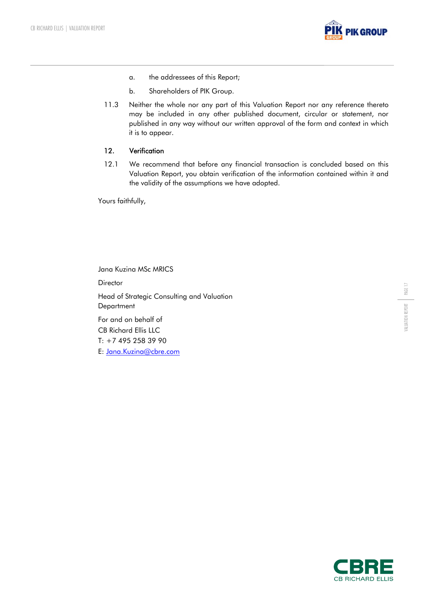

- a. the addressees of this Report;
- b. Shareholders of PIK Group.
- 11.3 Neither the whole nor any part of this Valuation Report nor any reference thereto may be included in any other published document, circular or statement, nor published in any way without our written approval of the form and context in which it is to appear.

## 12. Verification

12.1 We recommend that before any financial transaction is concluded based on this Valuation Report, you obtain verification of the information contained within it and the validity of the assumptions we have adopted.

Yours faithfully,

Jana Kuzina MSc MRICS **Director** Head of Strategic Consulting and Valuation **Department** For and on behalf of CB Richard Ellis LLC T: +7 495 258 39 90

E: Jana.Kuzina@cbre.com

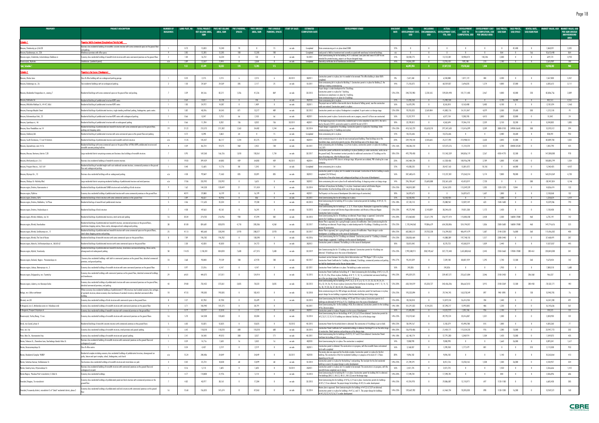| <b>PROPERTY</b>                                                                          | <b>PROJECT DESCRIPTION</b>                                                                                                                                                                   | <b>NUMBER OF</b><br><b>BUILDING</b> | LAND PLOT. HA | <b>TOTAL PROJECT PIK'S NET SELLING</b><br><b>NET SELLING AREA,</b> | AREA, SQM        | PIK'S PARKING<br><b>SPACES</b> | <b>PIK'S UNSOLD</b><br>AREA, SQM | PIK'S UNSOLD<br><b>PARKING, SPACES</b> | START OF SALES      | ESTIMATED<br><b>COMPLETION DATE</b> | <b>DEVELOPMENT STAGE</b>                                                                                                                                                                                                                                                  | DISCOUNT<br><b>RATE</b> | <b>TOTAL</b>             | INCLUDING                | ACTUAL<br>DEVELOPMENT COST. ENCUMBRANCES. DEVELOPMENT COST. | COST TO                        | DEVELOPMENT DEVELOPMENT COST SALE PRICES, SALE PRICES, RENTAL RATE,<br>TO COMPLETION, USD USD/SQM USD/SPACE USD/SQM/YEAR |                          |                          |                                            |                         | <b>MARKET VALUE, USD MARKET VALUE, USD</b><br><b>PER SQM UNSOLD</b> |
|------------------------------------------------------------------------------------------|----------------------------------------------------------------------------------------------------------------------------------------------------------------------------------------------|-------------------------------------|---------------|--------------------------------------------------------------------|------------------|--------------------------------|----------------------------------|----------------------------------------|---------------------|-------------------------------------|---------------------------------------------------------------------------------------------------------------------------------------------------------------------------------------------------------------------------------------------------------------------------|-------------------------|--------------------------|--------------------------|-------------------------------------------------------------|--------------------------------|--------------------------------------------------------------------------------------------------------------------------|--------------------------|--------------------------|--------------------------------------------|-------------------------|---------------------------------------------------------------------|
|                                                                                          |                                                                                                                                                                                              |                                     |               | som                                                                |                  |                                |                                  |                                        |                     |                                     |                                                                                                                                                                                                                                                                           |                         | <b>USD</b>               | <b>USD</b>               | YTD, USD                                                    |                                | <b>COMPLETION, USD PER UNSOLD AREA</b>                                                                                   |                          |                          |                                            |                         | ABOVEGROUND<br><b>AREA</b>                                          |
| Schedule 1                                                                               | <u>eerties Held for Investment (Completed and Partially Sold)</u><br>Business class residential building of monolithic concrete structure with some commercial space on the ground floor     |                                     |               |                                                                    |                  |                                |                                  |                                        |                     |                                     |                                                                                                                                                                                                                                                                           |                         |                          |                          |                                                             |                                |                                                                                                                          |                          |                          |                                            |                         |                                                                     |
| Moscow, Shmitovsky pr-d, bld.20<br>Moscow, Ryabinovaya, str., 22A                        | ınd parking.<br>Warehouse premises with office space.                                                                                                                                        |                                     | 0.73<br>3.85  | 15,833<br>12,285                                                   | 15,240<br>12,285 | 70<br>100                      | 12,285                           | 100                                    | on sale             | Completed<br>Completed              | State commissioning act is in place dated 2008<br>Land parcel is Held as Investment and currently occupied with warehouse/ industrial buildings.                                                                                                                          | 12%<br>n/a              | $\overline{0}$           |                          | $\mathbf{0}$<br>$\overline{0}$                              | $\overline{0}$<br>$\mathbf{0}$ | $\overline{0}$<br>$\overline{0}$                                                                                         | 864                      | 81,400<br>$\overline{0}$ | $\mathbf{0}$<br>166                        | 1,068,591<br>10,613,448 | 2,035<br>864                                                        |
| Moscow region, Scherbinka, Industrialnaya-Chekhova st.                                   | Economy class residential building of monolith-brick structure with some commercial premises on the ground floor.                                                                            |                                     | 1.04          | 16,722                                                             | 16,234           | $\overline{0}$                 | 132                              | $\mathbf{0}$                           | on sale             | 10 20 11                            | State Commissioning Act for the building $\#21$ is obtained. Land plots total area of 0.309 ha are<br><u>tended for private housing, project is at the pre-designed stage.</u>                                                                                            | 12%                     | 32,030,775               | $\mathbf{0}$             | 13,122,301                                                  | 18,908,474                     | 143,246                                                                                                                  | 2,300                    | $\mathbf{0}$             | $\overline{0}$                             | 649,174                 | 4,918                                                               |
| Novorossiysk, Myshako<br>iotal, Schedule 1                                               | Townhouses (sandwich panel)                                                                                                                                                                  | n/a                                 | 3.89<br>9.51  | 12,659<br>57,499                                                   | 9,494<br>53,253  | $\sqrt{a}$<br>170              | 3,368<br>15,785                  | $\sqrt{2}$<br>115                      | on sale             |                                     | Completed Ownership certificates for all townhouses are obtained                                                                                                                                                                                                          | 14%                     | 14,865,209<br>46,895,984 | $\mathbf{0}$             | 13,955,421<br>27,077,722                                    | 909,788<br>19,818,262          | 270<br>1,000                                                                                                             | 1,180                    | $\mathbf{0}$             | $\overline{\phantom{0}}$                   | 2,626,989<br>14,958,202 | 780<br>948                                                          |
| Schedule 2                                                                               | <u>operties in the Course of Development</u>                                                                                                                                                 |                                     |               |                                                                    |                  |                                |                                  |                                        |                     |                                     |                                                                                                                                                                                                                                                                           |                         |                          |                          |                                                             |                                |                                                                                                                          |                          |                          |                                            |                         |                                                                     |
| Moscow, Zhukov Lane                                                                      | Class B office building with an underground parking garage                                                                                                                                   |                                     | 0.23          | 2,215                                                              | 2,215            | - 6                            | 2,215                            |                                        | 40 2011             | 302011                              | onstruction permit is in place, but it is needed to be renewed. The office building is about 86%                                                                                                                                                                          | 0%                      | 7,621,260                |                          | 6,550,088                                                   | 1,071,172                      | 484                                                                                                                      | 4,200                    | $\mathbf{0}$             | $\overline{0}$                             | 7,657,000               | 3,457                                                               |
| Moscow, Budennogo av., 26                                                                | Two residential buildings with an underground parking.                                                                                                                                       | 2                                   | 1.50          | 24,569                                                             | 24,569           | 205                            | 2,117                            | 25                                     | on sale             | 10 20 11                            | State comissioning Act is in place for Building 1. Construction permit is in place for Building 2, the                                                                                                                                                                    | 14%                     | 71,255,072               | $\mathbf{0}$             | 68,559,037                                                  | 2,696,035                      | 1,274                                                                                                                    | 4,800                    | 37,000                   | $\overline{\phantom{a}}$                   | 6,585,613               | 3,111                                                               |
|                                                                                          |                                                                                                                                                                                              |                                     |               |                                                                    |                  |                                |                                  |                                        |                     |                                     | puilding is nearing commissioning<br>Project design is under development for 2 buildings.                                                                                                                                                                                 |                         |                          |                          |                                                             |                                |                                                                                                                          |                          |                          |                                            |                         |                                                                     |
| Moscow, Akademika Vinogradova str., owning                                               | Residential buildings with some commerical space on the ground floor and parking.                                                                                                            |                                     | 3.39          | 84,166                                                             | 82,211           | 1,356                          | 41,226                           | 869                                    | on sale             | 20 20 13                            | onstruction permit is in place for 1 building.<br>`onclusion on compliance is in place for 1 building                                                                                                                                                                     | 12%-25%                 | 240,735,983              | 2,228,165                | 139,024,498                                                 | 101,711,485                    | 2,467                                                                                                                    | 4,000                    | 42,000                   | 250                                        | 82,806,756              | 2,009                                                               |
| Moscow. Kakhovka Str.                                                                    | Residential building of prefabricated structure KOPE series                                                                                                                                  |                                     | 0.64          | 10,877                                                             | 10,708           |                                | 106                              |                                        | on sale             | 402010                              | <u>ate commissionina act is in olace for 2 buildinas</u><br>State comissioning Act is in place.<br>e project was on hold for a few months due to the absent of felling permit, now the construction :                                                                     | 12%                     | 15,403,558               |                          | 15,403,558                                                  |                                |                                                                                                                          | 4,700                    | 36,000                   |                                            | 482,512                 | 4,552                                                               |
| Moscow, Miklukho-Maklaya St., 44-47, bld.6                                               | Residential building of prefabricated structure KOPE series                                                                                                                                  |                                     | 1.03          | 24,972                                                             | 14,387           |                                | 1,489                            |                                        | on sale             | 202011                              | <u>rks are restored. Construction permit is in place</u>                                                                                                                                                                                                                  | 16%                     | 16,429,290               |                          | 8,265,810                                                   | 8,163,480                      | 5,483                                                                                                                    | 4,100                    | $\mathbf{0}$             | $\overline{0}$                             | $-2,181,074$            | $-1,465$                                                            |
| Moscow, Krasnogo Mayaka Street                                                           | tesidential buildings of prefabricated sturcture, single standing multilevel parking, kindergarten, sports centre.                                                                           |                                     | 5.82          | 48,596                                                             | 34,545           | 871                            | 13,277                           | 489                                    | on sale             | 30 2012                             | Construction permits are in place. Kindergarten is completed. A sport centre is at design stage.                                                                                                                                                                          | 12%-20%                 | 95,955,023               | 3,569,484                | 41,803,176                                                  | 54,151,847                     | 4,079                                                                                                                    | 3,500                    | 29,600                   | 300                                        | $-1,212,518$            | -91                                                                 |
| Moscow, Kolomenskaya Emb., 22                                                            | Residential building of prefabricated structure KOPE series with underground parking                                                                                                         |                                     | 0.66<br>0.66  | 8,347<br>11,784                                                    | 5,753<br>8,202   | - 66<br>136                    | 2,103<br>8,202                   | 136                                    | on sale<br>20 20 11 | 402011<br>402011                    | Construction permit in place. Construction works are in progress, around 5-6 floors are constructed.<br>n the beginning process of construction, residential part is to be completed in June 2011, the rest is                                                            | 16%<br>18%              | 15,357,919<br>23,709,812 |                          | 6,077,134<br>4,363,694                                      | 9,280,785                      | 4,413<br>2,359                                                                                                           | 3,800                    | 32,800<br>33,200         | $\overline{0}$<br>$\overline{\phantom{0}}$ | 51,042                  | 24<br>1,005                                                         |
| Moscow, Lipetskaya st., 46<br>Moscow, Novo-Peredelkino mcr.14                            | cesidential building of prefabricated structure with an underground parking<br>Residential buildings of prefabricated and monolith structure with some commercial space on the ground floor, | 19                                  | 21.22         | 213,573                                                            | 211,302          | 1,563                          | 34,482                           | 1,244                                  | on sale             | 20 20 14                            | e by the end of 2012, construction permit is valid till the mid of 2011.<br>Project design is approved for 4 buildings. Construction permit is in place for 3 buildings. State                                                                                            | 12%-23%                 | 410,763,729              | 83,620,210               | 297,347,630                                                 | 19,346,118<br>113,416,099      | 3,289                                                                                                                    | 3,150<br>3000-3150       | 24900-2664               | 500                                        | 8,240,002<br>13,595,512 | 394                                                                 |
| Moscow, Orekhoviy bld.                                                                   | <u>arking and shopping cent</u><br>Residential building of prefabricated structure with some commercial space on the ground floor and parking                                                |                                     | 0.72          | 8,398                                                              | 5,863            | 64                             |                                  |                                        | on sale             | Completed                           | <u>nmissioning act for 11 buildings are in place.</u><br>State comissioning Act is in place.                                                                                                                                                                              | 12%                     | 18,276,646               |                          | 18,276,646                                                  | $\overline{0}$                 | $\mathbf{0}$                                                                                                             | 3,480                    | 34,600                   | $\overline{\phantom{0}}$                   | 500,392                 | 953                                                                 |
| Moscow, South Chertanovo, 17 and 18 districts                                            | Residential buildings of prefabricated structure and monolith and brick structure                                                                                                            | n/a                                 | 11.35         | 135,427                                                            | 86,117           | 1,234                          | 81,275                           | 1,234                                  | on sale             | 402014                              | state commissioning act is in place for one municipal panel building. Three buildings are at the                                                                                                                                                                          | 23%                     | 239,198,144              | 3,543,665                | 25,217,593                                                  | 213,980,551                    | 2,633                                                                                                                    | 3,843                    | 31,000                   | $\overline{\phantom{a}}$                   | 83,089,783              | 1,022                                                               |
| Moscow, Zapovednaya, own.14-16                                                           | Residential buildings with some commercial space on the ground floor of P3M, KOPE prefabricated structure and                                                                                |                                     | 4.39          | 86,724                                                             | 59,275           | 460                            | 2,452                            | 138                                    | on sale             | 20 20 11                            | <u>dation stage, construction permits are due. Other buildings were at the design stage</u><br>State comissioning Acts tor Buildings 1,2,3,4 are in place, construction permit is in place tor buildings                                                                  | 12%-16%                 | 148,286,154              | $\overline{\phantom{0}}$ | 137,075,576                                                 | 11,210,578                     | 4,572                                                                                                                    | 3,700                    | 30400-32528              | $\overline{\phantom{0}}$                   | 1,042,790               | 425                                                                 |
|                                                                                          | <u>nonolith concrete parking facilities</u><br>Large residential district comprising economy and business class buildings of monolith structure.                                             |                                     | 0.95          | 169,260                                                            | 166,126          | 1,818                          | 150,361                          | 1,734                                  | on sale             |                                     | onstruction permit certificate for one building is in place (building is under construction, works are or.                                                                                                                                                                | 18%-25%                 | 492,798,458              |                          | 151,962,339                                                 | 340,836,119                    | 2,267                                                                                                                    | 4350-4770                | 52,500                   |                                            | 147,000,000             | 978                                                                 |
| Moscow, Moscow, Kuntsevo, districts 7;20                                                 |                                                                                                                                                                                              |                                     |               |                                                                    |                  |                                |                                  |                                        |                     | 30 2017                             | the ground level). The investment contract provides for additional construction of 7 buildings on the<br><u>ce of existing ones, after the Moscow Gover.</u><br>he building related to PIK's share is at design stage. All permits are outdated, PIK is looking for a new |                         |                          |                          |                                                             |                                |                                                                                                                          |                          |                          |                                            |                         |                                                                     |
| Moscow, Mitchurinsky pr-t, 5-6                                                           | Business class residential buildings of monolith concrete structure.<br>Residential building of variable heights with cast reinforced concrete structure, commercial premises on the ground  |                                     | 19.03         | 399,429                                                            | 64,883           | 439                            | 64,883                           | 439                                    | 40 2011             | 402014                              |                                                                                                                                                                                                                                                                           | 23%                     | 242,484,734              |                          | 61,528,436                                                  | 180,956,298                    | 2,789                                                                                                                    | 5,000                    | 47,000                   | $\overline{\phantom{0}}$                   | 100,805,799             | 1,554                                                               |
| Moscow, Prospect Mira av., 165-169                                                       | <u>floor and underground parking</u>                                                                                                                                                         |                                     | 0.40          | 12,605                                                             | 11,776           | 88                             | 1,243                            | -54                                    | on sale             | Completed                           | State comissioning Act is in place.<br>istruction permit is in place, but it is needed to be renewed. Construction of the first building is nearly                                                                                                                        | 12%                     | 41,838,235               | $\mathbf{0}$             | 28,457,163                                                  | 13,381,072                     | 10,765                                                                                                                   | $\overline{\phantom{a}}$ | 64,000                   | $\overline{0}$                             | $-5,540,425$            | $-4,457$                                                            |
| Moscow, Mytnaya Str., 13                                                                 | Business-class residential buildings with an underground parking                                                                                                                             | n/a                                 | 4.58          | 99,069                                                             | 71,463           | 835                            | 33,891                           | 835                                    | on sale             | 302012                              | mpleted (14/18 floors).<br><u>onstruction of two other towers and underground parking is in the course of development</u>                                                                                                                                                 | 16%                     | 287,600,615              |                          | 112,237,301                                                 | 175,363,314                    | 5,174                                                                                                                    | 9,800                    | 90,000                   | $\overline{\phantom{0}}$                   | 160,224,369             | 4,728                                                               |
| Moscow, Okskaya St.-Volzhsky Blvd.                                                       | Large residential district comprising reisdential buildings of prefabricated structure and retail premises                                                                                   | n/a                                 | 17.86         | 233,992                                                            | 233,992          | $\overline{0}$                 | 5,625                            |                                        | on sale             | 302012                              | State comissioning Acts are in place for all residential buildings. A shopping centre is at design stage.                                                                                                                                                                 | 14%                     | 296,784,647              | 35,685,880               | 253,361,628                                                 | 43,423,019                     | 7,720                                                                                                                    | $\overline{0}$           | $\overline{0}$           | 380                                        | $-28,947,824$           | $-5,146$                                                            |
| Moscow region, Dmitrov, Kosmonavtov st                                                   | Residential buildings of prefabricated SMKD structure and one building of brick structure                                                                                                    |                                     | 1.62          | 144,528                                                            | 128,449          | 21                             | 111,424                          |                                        | on sale             | 20 20 14                            | Certificate of Compliance for Building 1 is in place. Investment contract with Dmitrov Region<br><u>ministration for other buildings which are at the pre-design stage is in place</u>                                                                                    | 12%-25%                 | 148,810,309              | - 0                      | 33,461,070                                                  | 115,349,239                    | 1,035                                                                                                                    | 1320-1370                | 9,844                    | $\overline{0}$                             | 14,836,474              | 133                                                                 |
| Moscow region, Pykhtino                                                                  | Economy class residential building of prefabricated structure with some commercial premises on the ground floor.                                                                             |                                     | 40.91         | 29,888                                                             | 16,199           |                                | 16,199                           |                                        | on sale             | 402011                              | he Property is in the course of development (the initial stage of construction)                                                                                                                                                                                           | 18%                     | 26,029,672               |                          | $\mathbf{0}$                                                | 26,029,672                     | 1,607                                                                                                                    | 1,800                    |                          | $\overline{0}$                             | 2,138,368               | 132                                                                 |
| Moscow region, Dmitrov, DZFS<br>Moscow region, Dmitrov, Makhalina, 1st Phase             | cesidential buildings of brick structure with some commercial premises on the ground floor?<br>Residential builings of monolith and prefabricated structure                                  |                                     | 3.89<br>4.46  | 46,627<br>111,635                                                  | 43,956<br>35,324 | $\overline{0}$                 | 866<br>19,330                    |                                        | on sale<br>on sale  | 20 20 11<br>40 2013                 | State Commissioning Acts for all buildings are in place.<br>State Comissioning Act for building #3 is in place. Construction permits for buildings ##4, 8, 13,                                                                                                            | 12%<br>12%-18%          | 53,550,435<br>37,120,110 |                          | 53,550,435<br>25,080,961                                    | 12,039,149                     | 623                                                                                                                      | 1,500<br>1540-1600       | $\mathbf{0}$             | $\overline{0}$                             | 1,228,624<br>15,329,286 | 1,419<br>793                                                        |
|                                                                                          |                                                                                                                                                                                              |                                     |               |                                                                    |                  |                                |                                  |                                        |                     |                                     | s are in place<br>state Commissioning Acts for buildings 1, 2, 3, 9, 10 are in place. Masterplan is approved for buildings                                                                                                                                                |                         |                          |                          |                                                             |                                |                                                                                                                          |                          |                          |                                            |                         |                                                                     |
| Moscow region, Dmitrov, Vnukovskaya st.                                                  | Residential buildings of brick structure                                                                                                                                                     |                                     | 4.58          | 49,563                                                             | 43,161           |                                | 16,241                           |                                        | on sale             | 10 2013                             | 4, 5. Investment contract with Dmitrov Region Administration and Ministry of Moscow Region<br>nstruction Sector is in place                                                                                                                                               | 12%-23%                 | 49,275,948               | 3,143,009                | 30,244,610                                                  | 19,031,338                     | 1,172                                                                                                                    | 1,420                    |                          |                                            | 1,130,438               | 70                                                                  |
| Moscow region, Khimki, Ubileiniy, mcr.1A                                                 | Residential buildings of prefabricated structure, retail centre and parking                                                                                                                  | 16                                  | 20.34         | 274,702                                                            | 216,956          | 930                            | 47,394                           | 502                                    | on sale             | 20 20 13                            | State Commissioning Acts for 10 buildings are obtained. Project design is approved. Construction<br>permits for 5 buildings are received. 5 buildings are in the process of construction.                                                                                 | 12%-20%                 | 372,060,832              | 22,611,793               | 256,977,474                                                 | 115,083,358                    | 2,428                                                                                                                    | 2,500                    | 16800-17800              | 460                                        | 6,735,191               | 142                                                                 |
| Moscow region, Khimki, Novokurkino                                                       | Residential buildings of prefabricated and monolith structure, commercial premises on the ground floors,<br>tandalone shopping centres, fitness centre, aboveground and underground parking. | -38                                 | 81.00         | 824,681                                                            | 820,078          | 4,718                          | 285,506                          | 4,260                                  | on sale             | 20 20 17                            | Naster Plan is approved, but is going through a process of modification. State Commissioning Acts for<br>buildings are obtained. Project design is under development for 4 buildings. 8 buildings are in the<br>rocess of constructio                                     | 12%-25%                 | 1,178,544,063            | 99,886,679               | 654,350,006                                                 | 524,194,057                    | 1,836                                                                                                                    | 2500-2600                | 16800-17800              | 460                                        | 149,774,676             | 525                                                                 |
| Moscow region, Khimki, Sovkhoznaya str., 11                                              | Residential buildings of pretabricated and monolith structure with some commercial space on the ground floors,<br><u>tand alone shopping centres and parking.</u>                            | 25                                  | 41.13         | 405,660                                                            | 328,240          | 3,978                          | 288,377                          | 3,978                                  | on sale             | 20 20 17                            | Master Plan is approved, but is going through a process of modification. Project design is under<br>elopment. 6 buildings are in the course of development                                                                                                                | 18%-25%                 | 602,885,511              | 39,702,230               | 116,394,032                                                 | 486,491,479                    | 1,687                                                                                                                    | 2140-2230                | 16,800                   | 360                                        | 115,436,302             | 400                                                                 |
| Moscow region, Khimki, The Star of Russia                                                | Residential buildings of monolith structure with some commercial space on the ground floors.                                                                                                 |                                     | 7.09          | 196,782                                                            | 196,782          | $\overline{0}$                 | 130,390                          |                                        | on sale             | 40 2016                             | State Commissioning Acts for 3 buildings are obtained. Construction permit for 1 building is obtained.<br>oject design is approved. 1 building is in the course of development.                                                                                           | 12%-23%                 | 238,836,464              |                          | 41,088,309                                                  | 197,748,155                    | 1,517                                                                                                                    | 2280-2440                | $\overline{0}$           | $\overline{0}$                             | 37,468,491              | 287                                                                 |
| Moscow region, Mytischi, 3rd Krestyanskaya str., bld.60-62                               | Residential buildings of prefabricated structure with some commercial space on the ground floor                                                                                              |                                     | 2.30          | 42,820                                                             | 42,820           | $\overline{0}$                 | 24,772                           | $\mathbf{0}$                           | on sale             | 302012                              | onstruction permit is obtained. The building is in the course of development.                                                                                                                                                                                             | 18%                     | 53,831,042               | $\overline{0}$           | 8,270,723                                                   | 45,560,319                     | 1,839                                                                                                                    | 2,440                    | $\overline{0}$           | $\overline{0}$                             | 11,027,837              | 445                                                                 |
| Moscow region, Mytishi, Yaroslavsky                                                      | Residential buildings of prefabricated and monolith structure, stand alone commercial buildings, fitness centre,<br>ground and underground parking                                           |                                     | 114.25        | 1,150,201                                                          | 834,020          | 7,608                          | 677,315                          | 7,608                                  | on sale             | 20 20 19                            | Sate Commissioning Acts for 12 buildings are obtained. Construction permits for 4 buildings are                                                                                                                                                                           | 12%-23%                 | 1,993,580,911            | 208,749,667              | 337,772,448                                                 | 1,655,808,463                  | 2,445                                                                                                                    | 2550-2660                | 17000-17800              | 200-461                                    | 230,843,000             | 341                                                                 |
|                                                                                          | Economy class residential buildings with built-in commercial premises on the ground floor, detached commercial                                                                               |                                     |               |                                                                    |                  |                                |                                  |                                        |                     |                                     | btained. 10 buildings are in the course of development.<br>ivestment contract between Istrinskiy district Administration and "PIK-Region" CJSC is in place.                                                                                                               |                         |                          |                          |                                                             |                                |                                                                                                                          |                          |                          |                                            |                         |                                                                     |
| Moscow region, Dedovsk, Nogina - Pervomaiskaya str.                                      | premises, and ground parking.                                                                                                                                                                | 10                                  | 3.68          | 90,848                                                             | 79,109           | 100                            | 67,970                           | 100                                    | on sale             | 40 2017                             | Construction Permit Certificate for 1 building is obtained, 5 buildings, commercial premises and parking<br>tre held for development and at the pre-design stage                                                                                                          | 14%-27%                 | 95,341,029               |                          | 7,339,100                                                   | 88,001,929                     | 1,295                                                                                                                    | 1,740                    | 12,500                   | 260                                        | 9,678,454               | 142                                                                 |
| Moscow region, Lobnya, Batareynaya str., 5                                               | conomy class residential buildings of monolith structure with some commercial premises on the ground floor:                                                                                  |                                     | 0.97          | 21,816                                                             | 4,147            | $\overline{\phantom{a}}$       | 4,147                            | $\overline{0}$                         | on sale             | Q3 2011                             | Construction Permit Certificate is in place. The building is under construction                                                                                                                                                                                           | 16%                     | 245,826                  | $\mathbf{0}$             | 245,826                                                     | $\overline{0}$                 | $\overline{0}$                                                                                                           | 1,950                    | $\overline{\phantom{a}}$ | $\overline{\phantom{0}}$                   | 7,000,510               | 1,688                                                               |
| Moscow region, Dolgoprudny, mcr. Tsentralny                                              | conomy class residential buildings with commercial premises on the ground floor, detached commercial buildings<br>ind townhouses.                                                            |                                     | 64.81         | 444,075                                                            | 317,811          |                                | 124,914                          |                                        | on sale             | 10 2015                             | nstruction Permit Certificate for building $#1$ . State Comissioning Acts for buildings $##2, 4, 6, 31,$<br>$32, 33, 35, 35$ a, $38$ are in place; Buildings $# 4$ , $9, 11, 52, 16$ , and detached commercial buildings                                                  | 14%-23%                 | 495,029,375              |                          | 239,407,571                                                 | 255,621,804                    | 2,046                                                                                                                    | 2100-2450                | $\overline{0}$           | 206-360                                    | $-966,537$              | -8                                                                  |
| Moscow region, Lubertcy, mcr. Krasnaya Gorka                                             | comony class residential buildings of prefabricated structure with some commercial premises on the ground floor,                                                                             | 43                                  | 29.80         |                                                                    |                  | 3,835                          |                                  | 3,835                                  |                     | 30 2013                             | are at the pre-design stage. Buildings ## 8,17,18 are on<br>State Commissioning Acts for buildings ##1,1a, 2, 3, 4, 5, 6, 12, 17, 21, 22, 23, 24, 25, 31,                                                                                                                 | 12%-20%                 |                          |                          | 343,436,206                                                 | 306,667,813                    | 3,915                                                                                                                    | 2100-2369                | 12,500                   | 200-450                                    | $-70,532,171$           | $-901$                                                              |
|                                                                                          | detached commercial premises, and parking.<br>Fifteen economy class residential buildings of prefabricated (111M) structure; two hundred economy class cottages                              |                                     |               | 733,452                                                            | 373,361          |                                | 78,323                           |                                        | on sale             |                                     | 31a, 32, 34, 36, 45, 46 are in place; Construction Permit Certificates for buildings $##7$ , 13, 14, 15,<br>5, 18, 19, 20, 26, 37, 38, 43, 44, 47 are obtained; Detache                                                                                                   |                         | 650,104,019              | 85,328,727               |                                                             |                                |                                                                                                                          |                          |                          |                                            |                         |                                                                     |
| Kaluga, mcr. Likhun settlement                                                           | If sandwich structure; eleven economy class townhouses of sandwich structure, detached commercial office                                                                                     |                                     | 47.55         | 190,585                                                            | 190,585          |                                | 182,431                          |                                        | on sale             | 10 2018                             | State commissioning acts for 200 cottages are obtained, construction permit for townhouses is in place,<br>project design for one building is approved, other fourteen buildings are at design stage.                                                                     | 12%-25%                 | 193,323,094              |                          | 29,744,745                                                  | 163,578,349                    | 897                                                                                                                      | 940-1090                 | $\overline{0}$           | 130                                        | 13,940,705              |                                                                     |
| Obninsk, mcr.38                                                                          | Economy class residential buildings of brick structure with commercial space on the ground floors                                                                                            |                                     | 2.27          | 81,950                                                             | 81,950           | $\overline{0}$                 | 33,699                           |                                        | on sale             | 20 20 13                            | State Commissioning Acts for the buildings #7,8 and 10 are in place; Construction permits for 5<br>uildings are obtained (##4,5,6,9,11), 5 buildings are in the course of development                                                                                     | 12%-20%                 | 78,234,018               | $\mathbf{0}$             | 51,819,314                                                  | 26,414,704                     | 784                                                                                                                      | 1,440                    | $\mathbf{0}$             | $\overline{0}$                             | 16,541,200              | 491                                                                 |
| N.Novgorod, mcr.5, Misherskoe ozero str. Volzjskaya emb                                  | conomy class residential buildings of monolith structure with commercial premises on the ground floor:                                                                                       |                                     | 3.71          | 106,940                                                            | 101,375          |                                | 28,791                           |                                        |                     | 40 2011                             | State Commissioning Acts for the buildings #3A, B are obtained; Construction permits for the buildings<br>1A, 2A are in place.                                                                                                                                            | 14%-18%                 | 101,291,022              | 4,144,235                | 87,298,217                                                  | 13,992,805                     | 486                                                                                                                      | 1,230                    | $\overline{0}$           | $\overline{\phantom{0}}$                   | 16,145,636              | 561                                                                 |
| N.Novgorod, Prospect Octyabrya str                                                       | conomy class residential building of monolith structure with commercial premises on the ground floor:                                                                                        |                                     | 0.79          | 23,919                                                             | 22,018           | $\overline{0}$                 | 7,779                            | $\mathbf{0}$                           | on sale             | 302011                              | Construction permit is in place. Property is in the course of development.<br>State Commissioning Acts on the buildings $\# \# 1,2,4,5,6,9,10$ are obtained. Construction permits for                                                                                     | 16%                     | 21,605,085               |                          | 14,322,979                                                  | 7,282,106                      | 936                                                                                                                      | 1,100                    | $\overline{0}$           | $\overline{0}$                             | 784,222                 | 101                                                                 |
| Novorossiysk, Yuzhny Bereg, 15 mcr.                                                      | conomy class residential buildings of monolith structure with commercial premises on the ground floors:                                                                                      | 16                                  | 5.70          | 164,508                                                            | 120,683          |                                | 20,004                           |                                        | on sale             | 10 20 14                            | #3,7,8,11,12,13,14,15 buildings are obtained. Building 16 is at the design stage                                                                                                                                                                                          | 14%-23%                 | 110,210,461              |                          | 89,793,574                                                  | 20,416,887                     | 1,021                                                                                                                    | 1,300                    | $\mathbf{0}$             | $\overline{\phantom{0}}$                   | 2,028,930               | 101                                                                 |
| Omsk, mcr.Crystal, phase II                                                              | cesidential buildings of monolith concrete structure with commercial premises on the ground floors?                                                                                          | 5                                   | 6.03          | 55,825                                                             | 55,825           | $\overline{0}$                 | 55,825                           |                                        | 10 20 12            | 40 2015                             | Construction Permit for the whole district is obtained. The construction of 4 buildings is put on hold.                                                                                                                                                                   | 18%-23%                 | 50,594,167               | $\overline{\phantom{0}}$ | 5,103,379                                                   | 45,490,788                     | 815                                                                                                                      | 1,000                    | $\overline{\phantom{a}}$ | $\overline{\phantom{a}}$                   | 4,305,260               | 77                                                                  |
| Perm. mcr. Iva                                                                           | Economy class residential buildings of monolith structure, retail premises and ground parking.                                                                                               | $\overline{11}$                     | 6.42          | 118,318                                                            | 118,318          | 600                            | 118,318                          | 600                                    | on sale             | 30 2015                             | Construction Permit Certificate for 9 residential buildings is obtained. Building #5 is on the initial stage<br><u>construction. Retail premises and parking are at the design stage.</u>                                                                                 | 18%-20%                 | 136,978,406              | $\overline{\phantom{0}}$ | 21,454,171                                                  | 115,524,235                    | 976                                                                                                                      | 1,280                    | 13,000                   | $\overline{0}$                             | 23,947,773              | 202                                                                 |
| Perm, Mira Str., Kosmonavtov hwy                                                         | Economy class residential buildings of monolith strcuture and ground parking.                                                                                                                |                                     | 2.41          | 54,540                                                             | 49,013           | 300                            | 3,557                            | 171                                    | on sale             | 40 2011                             | State Commissioning Acts for buildings $\# \# 215$ , $217$ and $213$ are obtained. Construction Permit<br><u>rtificate for building #136 is in place</u>                                                                                                                  | 14%-18%                 | 63,140,174               | $\overline{\phantom{0}}$ | 57,791,200                                                  | 5,348,974                      | 1,504                                                                                                                    | 1,420                    | 13,000                   | $\overline{\phantom{0}}$                   | 1,549,073               | 435                                                                 |
| Rostov, Telmana St., Zhuravleva Lane, Grecheskogo Goroda Volos St.                       | Business class residential building of monolith structure with commercial premises on the ground floor and<br>inderground car park                                                           |                                     | 0.59          | 14,716                                                             | 7,630            | - 16                           | 5,502                            | 16                                     | on sale             | 402010                              | State Commissioning Act is in place. The construction is completed.                                                                                                                                                                                                       | 14%                     | 9,008,990                | $\mathbf{0}$             | 9,008,990                                                   | $\overline{0}$                 | $\overline{0}$                                                                                                           | 1,660                    | 26,000                   | $\overline{\phantom{a}}$                   | 8,895,341               | 1,617                                                               |
| Rostov, Krasnoarmeyskaya St.                                                             | Class B office centre                                                                                                                                                                        |                                     | 0.24          | 4,437                                                              | 2,219            | $\overline{0}$                 | 2,219                            | $\mathbf{0}$                           | on sale             | 302011                              | onstruction permit is obtained. The construction is in progress, with the monolith frame and external<br>ick walls completer                                                                                                                                              | 16%                     | 3,168,037                | $\mathbf 0$              | 1,390,558                                                   | 1,777,479                      | 801                                                                                                                      | $\overline{\phantom{a}}$ | $\overline{\phantom{a}}$ | 310                                        | 2,115,508               | 953                                                                 |
| Rostov, Residential Complex "NORD"                                                       | Residential complex including economy class residential buildings of prefabricated structure, aboveground car<br>parks, leisure and sport complex, school, kindergarten, and church          | n/a                                 | 15.24         | 248,486                                                            | 24,849           |                                | 24,849                           |                                        | 20 20 11            | 402018                              | he master plan was approved for the whole complex. Construction permit is in place for the first<br>building. The construction of the first residential building is in progress at the level of 1-2 floors<br>leoendina on the unit.                                      | 30%                     | 9,896,182                |                          | 9,896,182                                                   |                                | $\mathbf{0}$                                                                                                             | 1,140                    | $\overline{0}$           |                                            | 10,263,064              | 413                                                                 |
| Rostov, Sokolova Avenue, Varfolomeeva St.                                                | Two business class residential buildings of monolith structure and stand alone car park                                                                                                      | 3                                   | 0.42          | 25,724                                                             | 18,028           | 68                             | 12,899                           | 68                                     | on sale             | 10 20 14                            | onstruction permit is in place for the building 1 and parking. The land plot for the 2nd residential.<br>uilding is vacant; the project design is under development                                                                                                       | 14%-25%                 | 21,709,291               | $\mathbf{0}$             | 8,451,126                                                   | 13,258,165                     | 1,028                                                                                                                    | 1,500                    | 26,000                   | $\overline{0}$                             | 4,184,927               | 324                                                                 |
| Rostov, Gazetny Lane, Ul'yanovskaya St.                                                  | Business class residential building of monolith structure with commercial premises on the ground floor and<br><u>nderground car park</u>                                                     |                                     | 0.16          | 5,113                                                              | 1,605            | $\overline{0}$                 | 1,605                            |                                        | 10 20 11            | 202011                              | onstruction permit is in place, but it is needed to be renewed. The construction is in progress, with the.<br>anolith frame completed over 6 storeys.                                                                                                                     | 16%                     | 2,421,725                | - 0                      | 2,421,725                                                   | $\overline{0}$                 | $\mathbf{0}$                                                                                                             | 1,550                    | $\overline{0}$           | $\overline{0}$                             | 2,266,666               | 1,412                                                               |
| Rostov Region, "Russkoe Pole" microdistrict, S.Shilo St.                                 | Economy class residential buildings                                                                                                                                                          |                                     | 4.77          | 110,800                                                            | 21,976           | $\overline{0}$                 | 5,114                            |                                        | on sale             | 10 2013                             | State Comissioning Act for building VA-1 is in place. Construction permit for building VA-3 is obtained.<br><u>ve buildings (VA-2.1, VA-2.2, VA-5.1, VA-5.2) are at the design stage.</u>                                                                                 | 14%-20%                 | 17,590,781               |                          | 17,590,781                                                  | $\mathbf{0}$                   | $\mathbf{0}$                                                                                                             | 840                      | $\overline{0}$           | $\overline{0}$                             | 3,506,096               | 686                                                                 |
| Yaroslavl, Bragino, 7a microdistrict                                                     | conomy class residential buildings of prefabricated panel and brick structure with commercial premises on the                                                                                |                                     | 4.02          | 40,977                                                             | 38,161           |                                | 17,384                           |                                        | on sale             | 20 20 13                            | State Comissioning Acts for buildings $##5$ a, 6,14 are in place. Construction permits for buildings                                                                                                                                                                      | 14%-25%                 | 41,924,978               |                          | 29,806,007                                                  | 12,118,971                     | 697                                                                                                                      | 1120-1180                | $\overline{0}$           |                                            | 6,685,458               | 385                                                                 |
|                                                                                          | round floor<br>conomy class residential buildings of prefabricated and brick structure with commercial premises on the ground                                                                |                                     |               |                                                                    |                  |                                |                                  |                                        |                     |                                     | ##5,7,13 are obtained. The project design for buildings ##2,4 is under development.<br>Naster plan is approved. State Comissioning Acts for buildings $\# \# 2,3,4,7,8,9$ are obtained.                                                                                   |                         |                          |                          |                                                             |                                |                                                                                                                          |                          |                          |                                            |                         |                                                                     |
| Yaroslavl, Frunzensky district, microdistrict 5 of "Sokol" residential district, phase 2 |                                                                                                                                                                                              |                                     | 12.68         | 156,025                                                            | 141,674          |                                | 87,063                           |                                        | on sale             | 10 20 14                            | Construction permit is in place for buildings $##1,6$ , and $11$ . The project design for buildings<br>#5.10.12.14.15.16.17 is under development.                                                                                                                         | 14%-23%                 | 139,669,782              |                          | 61,464,754                                                  | 78,205,028                     | 898                                                                                                                      | 1130-1200                | 16,300                   |                                            | 13,969,521              | 160                                                                 |

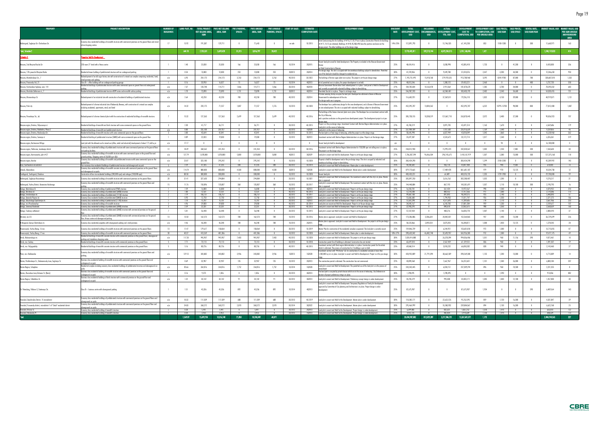|                                                                                 | <b>PROJECT DESCRIPTION</b>                                                                                                                                                                                                   | NUMBER O<br><b>BUILDINGS</b> |              | <b>TOTAL PROJECT</b><br>NET SELLING AREA,<br><b>SQM</b> | <b>PIK'S NET SELLING</b><br>AREA, SQM | <b>PIK'S PARKIN</b><br><b>SPACES</b> | <b>PIK'S UNSOLI</b><br>AREA, SQM | <b>PIK'S UNSOLD</b><br><b>PARKING, SPACES</b> | <b>START OF SALES</b> | <b>ESTIMATE</b><br><b>COMPLETION DATE</b> | DEVELOPMENT STAG                                                                                                                                                                                                                                                                      | <b>RATE</b> | <b>TOTA</b><br><b>DEVELOPMENT COST. ENCUMBRANCES</b><br><b>USD</b> | <b>USD</b>               | <b>ACTUA</b><br><b>DEVELOPMENT COST.</b><br><b>YTD, USD</b> | <b>COST TO</b>          | DEVELOPMENT COST SALE PRICES.<br>TO COMPLETION, USD USD/SQM USD/SPACE<br><b>COMPLETION, USD PER UNSOLD AREA</b> |                |                          | <b>RENTAL RATE</b><br>USD/SQM/YEAR |                      | <b>MARKET VALUE, US</b><br>PER SQM UNSOL<br><b>ABOVEGROUND</b><br><b>AREA</b> |
|---------------------------------------------------------------------------------|------------------------------------------------------------------------------------------------------------------------------------------------------------------------------------------------------------------------------|------------------------------|--------------|---------------------------------------------------------|---------------------------------------|--------------------------------------|----------------------------------|-----------------------------------------------|-----------------------|-------------------------------------------|---------------------------------------------------------------------------------------------------------------------------------------------------------------------------------------------------------------------------------------------------------------------------------------|-------------|--------------------------------------------------------------------|--------------------------|-------------------------------------------------------------|-------------------------|-----------------------------------------------------------------------------------------------------------------|----------------|--------------------------|------------------------------------|----------------------|-------------------------------------------------------------------------------|
| Kaliningrad, Soglasiya Str.-Chelnokova Str.                                     | conomy class residential buildings of monolith structure with commercial premises on the ground floors and stand<br>alone shopping centres                                                                                   |                              | 15.92        | 191,387                                                 | 129,711                               |                                      | 71,643                           |                                               | on sale               | 10 2015                                   | tate Comissioning Acts for buildings ##16,17,18,19 are in place; Construction Permits for buildings<br>$\# \# 11,14,15$ are obtained; Buildings $\# \# 44,45,48A,49A$ have the positive conclusion on the<br>sign project. The other buildings are at the design stage.               | 14%-25%     | 112,891,793                                                        |                          | 51,746,535                                                  | 61,145,258              | 853                                                                                                             | 1100-1200      |                          | 300                                | 11,660,971           | 163                                                                           |
| ul, Schedule 2                                                                  |                                                                                                                                                                                                                              |                              | 644.18       | 7,735,531                                               | 5,699,420                             | 31,315                               | 3,016,797                        | 28,422                                        |                       |                                           |                                                                                                                                                                                                                                                                                       |             | 9,773,402,811                                                      | 592,213,744              | 4,072,234,315                                               | 5,701,168,496           | 1,421                                                                                                           |                |                          |                                    | 1,248,119,023        | 414                                                                           |
| chedule 3                                                                       | <u>perties Held for Development </u>                                                                                                                                                                                         |                              |              |                                                         |                                       |                                      |                                  |                                               |                       |                                           |                                                                                                                                                                                                                                                                                       |             |                                                                    |                          |                                                             |                         |                                                                                                                 |                |                          |                                    |                      |                                                                               |
|                                                                                 |                                                                                                                                                                                                                              |                              |              |                                                         |                                       |                                      |                                  |                                               |                       |                                           | acant land plot zoned for hotel development. The Property is included in the Moscow Government                                                                                                                                                                                        |             |                                                                    |                          |                                                             |                         |                                                                                                                 |                |                          |                                    |                      |                                                                               |
| Moscow, 2nd Maryina Roscha Str                                                  | 250-room 3* hotel with a fitness centre                                                                                                                                                                                      |                              | 1.40         | 25,030                                                  | 25,030                                | -166                                 | 25,030                           |                                               | 10 20 14              | 202015                                    | Hotel Construction in Moscow.                                                                                                                                                                                                                                                         | 25%         | 48,424,416                                                         |                          | 5,038,998                                                   | 43,385,418              | 1,733                                                                                                           |                | 41,200                   |                                    | 8,420,000            | 336                                                                           |
| Moscow, 17th proezd of Maryina Rosha                                            | Residential tower building of prefabricated structure with an underground parking.                                                                                                                                           |                              | 0.54         | 13,000                                                  | 13,000                                | 253                                  | 13,000                           | 253                                           | 202013                | 202014                                    | Pre-design stage. The site is occupied with five warehouse buildings subject to demolishion. Permitted<br><u>ise of the land plot should be changed to residential use.</u>                                                                                                           | 30%         | 41,259,856                                                         | -0                       | 9,449,780                                                   | 31,810,076              | 2,447                                                                                                           | 4,200          | 44,300                   | $\overline{\phantom{0}}$           | 12,346,650           | 950                                                                           |
| Moscow, Mantulinskaya Str., 7                                                   | Redevelopment of an old sugar factory site with construction of a mixed-use complex comprising residential, hotel,                                                                                                           | n/a                          | 6.93         | 254,173                                                 | 254,173                               | 3,763                                | 254,173                          | 3,763                                         | 40 2013               | 20 20 22                                  | The buildings of former sugar plant are in place. The project is at the pre-design stage.                                                                                                                                                                                             | 27%         | 1,193,751,495                                                      | 15,418,760               | 279,970,535                                                 | 913,780,960             | 3,595                                                                                                           | 8245-9700      | 87,000                   | 780                                | 338,687,010          | 1,333                                                                         |
| Moscow, Presnensky Val, 21                                                      | <u>etail premises and parking.</u><br>$\cos B +$ office building with an underground parking garage                                                                                                                          |                              | 0.16         | 20,950                                                  | 16,027                                |                                      | 16,027                           |                                               | 10 20 14              | 402013                                    | Act of permitted use is in place, the project development is on hold.                                                                                                                                                                                                                 | 25%         | 40,813,346                                                         |                          | 1,380,125                                                   | 39,433,221              | 2,460                                                                                                           |                |                          | 480                                | 5,737,720            | 358                                                                           |
| Moscow, Varshavskoe highway, own. 141                                           | kesidential buildings of prefabricated structure with some commercial space on ground tloor and underground                                                                                                                  | n/a                          | 7.37         | 120,748                                                 | 114,711                               | 1,066                                | 114,711                          | 1,066                                         | 30 2013               | 402018                                    | Aoscow Government Decree about land redevelopment is in place. Land parcel is Held tor Development                                                                                                                                                                                    | 27%         | 184,785,034                                                        | 10,163,478               | 2,914,364                                                   | 181,870,670             | 1,585                                                                                                           | 3,700          | 34,000                   | $\overline{0}$                     | 78,393,332           | 683                                                                           |
| Moscow, Marshala Zakharova st.,                                                 |                                                                                                                                                                                                                              |                              | 1.70         |                                                         | 73,890                                | 1,731                                |                                  | 1,731                                         | 302012                | 402014                                    | currently occupied with industrial buildings subject to demolishing                                                                                                                                                                                                                   | 25%         |                                                                    |                          | 63,584,401                                                  | 183,403,192             |                                                                                                                 |                | 34,600                   |                                    | 54,030,455           |                                                                               |
|                                                                                 | Residential buildings of prefabricated structure KOPE series and monolith surface parking                                                                                                                                    | n/a                          |              | 73,890                                                  |                                       |                                      | 73,890                           |                                               |                       |                                           | Permitted Use Act is in place. Project is at design stage.<br>i former weaving factory occupies the land plot. Developer has obtained a Decree of Moscow                                                                                                                              |             | 246,987,593                                                        |                          |                                                             |                         | 2,482                                                                                                           | 3,540          |                          |                                    |                      |                                                                               |
| Moscow, Mironovskaya St.                                                        | Redevelopment of an industrial site with construction of residential buildings of prefabricated structure.                                                                                                                   | n/a                          | 2.64         | 43,250                                                  | 43,250                                | 700                                  | 43,250                           | 700                                           | 40 2012               | 202014                                    | Government for redevelopment of the site.<br><u>'re-design works are in progress.</u>                                                                                                                                                                                                 | 27%         | 116,605,921                                                        |                          | 37,369,811                                                  | 79,236,110              | 1,832                                                                                                           | 4,150          | 39,000                   |                                    | 48,919,871           | 1,131                                                                         |
| Moscow, Park city                                                               | Redevelopment of a former industrial site of Badaevsky Brewery, with construction of a mixed-use complex<br>rcluding residential, apartments, retail, and hotel                                                              | n/a                          | 14.32        | 220,175                                                 | 71,557                                | 1,807                                | 71,557                           | 1,276                                         | 10 2013               | 40 20 20                                  | he developer has a preliminary design for the area development, and a Decree of Moscow Government<br>n site redevelopment. The site is occupied with industrial buildings subject to demolishing.                                                                                     | 25%         | 452,395,707                                                        | 13,084,262               |                                                             | 452,395,707             | 6,322                                                                                                           | 10795-12700    | 90,000                   | 800                                | 77,812,408           | 1,087                                                                         |
| Moscow, Perovskaya Str., 66                                                     | Redevelopment of a former chemical plant with the construction of residential buildings of monolith structure.                                                                                                               |                              | 15.32        | 127,363                                                 | 127,363                               | 2,699                                | 127,363                          | 2,699                                         | 40 2012               | 40 2016                                   | The buildings of the former chemical plant are in place. The Developer has an investment contract with<br>the City of Moscow,<br>and a positive conclusion on the general area development project. The development project is at pre-                                                | 25%         | 385,738,155                                                        | 10,208,519               | 121,867,710                                                 | 263,870,445             | 2,072                                                                                                           | 3,400          | 27,300                   |                                    | 90,036,923           | 707                                                                           |
| Moscow region, Dmitrov, Shlyuzovaya st.                                         | Residential buildings of monolith and brick structure with some commercial spaces on the ground floors.                                                                                                                      | $\overline{\mathbf{3}}$      | 2.30         | 41,717                                                  | 36,711                                |                                      | 36,711                           |                                               | 30 2013               | 40 2015                                   | sian stage.<br>roject is at the pre-design stage. Investment Contract with Dmitrov Region Administration is in place.                                                                                                                                                                 | 27%         | 45,783,219                                                         | -0                       | 3,091,705                                                   | 42,691,514              | 1,163                                                                                                           | 1,670          | $\sqrt{0}$               | $\overline{0}$                     | 6,569,686            | 179                                                                           |
| Moscow region, Dmitrov, Makhalina, Phase:                                       | Residential buildings of monolith and prefabricated structure                                                                                                                                                                | n/n                          | 0.00         | 232.100                                                 | 201.927                               |                                      | 201.927                          |                                               | 30 2013               | 102020                                    | <u>nd plot is in the course of rehousing</u><br>Land plot is in the course of rehousing                                                                                                                                                                                               | 27%         | 237 904 189                                                        |                          | 1.927.530                                                   | 235.976.659             | 1 1 6 9                                                                                                         | 1.540          |                          |                                    | 9.239.855            | 46                                                                            |
| Moscow region, Dmitrov, Moskovskya Str.                                         | <u>Residential buildings of monolith structure with some commercial space on the ground floors</u>                                                                                                                           |                              | 3.00         | 43,644                                                  | 42,041                                |                                      | 42,041                           |                                               | 30 2012               | 10 2015                                   | The land plot is at final stage of rehousing, while the project is at the design stage.                                                                                                                                                                                               | 25%         | 50,645,998                                                         |                          | 6,827,949                                                   | 43,818,049              | 1,042                                                                                                           | 1,860          |                          |                                    | 15,228,960           | 362                                                                           |
| Moscow region, Dmitrov, Sennaya st                                              | Residential building of prefabricated structure (SMKD) with some commercial space on the ground floor                                                                                                                        |                              | 0.89         | 22,033                                                  | 19,830                                |                                      | 19,830                           |                                               | 10 20 12              | 302013                                    | Investment contract with Dmitrov Region Administartion is in place. Project is at the design stage.                                                                                                                                                                                   | 27%         | 24,697,387                                                         | $\theta$                 | 4,524,673                                                   | 20,172,714              | 1,017                                                                                                           | 1,540          | $\sqrt{0}$               | $\overline{0}$                     | 6,326,361            | 319                                                                           |
| Moscow region, Kartmazovo Village                                               | Land plot with the allowed use for mixed use (office, retail and industrial) development of about 171,668 sq m                                                                                                               | n/a                          | 17.17        | $\overline{\phantom{0}}$                                | $\overline{0}$                        | $\overline{0}$                       | 0                                | $\overline{0}$                                |                       | $\overline{0}$                            | Vacant land plot held for development                                                                                                                                                                                                                                                 | n/a         | $\overline{\phantom{a}}$                                           | $\overline{\phantom{0}}$ | $\overline{0}$                                              | $\overline{0}$          | $\overline{0}$                                                                                                  | - 94           | $\overline{0}$           | $\overline{\phantom{0}}$           | 16,100,000           | $\overline{0}$                                                                |
| Moscow region, Yakhroma, Levobereje district                                    | Economy class residential buildings of prefabricated structure with some commercial premises on the ground floors<br>ınd parkina facilitie                                                                                   | 12                           | 18.49        | 268,562                                                 | 241,454                               | $\mathbf{0}$                         | 241,454                          |                                               | 20 20 12              | 30 2016                                   | nvestment contract with Dmitrov Region Administration for 150,000 sqm net selling area is in place.<br><u>he project is at the design stage</u>                                                                                                                                       | 25%         | 258,012,940                                                        |                          | 15,992,473                                                  | 242,020,467             | 1,002                                                                                                           | 1,250          | 7,380                    | 200                                | 7,260,604            | 30                                                                            |
| Moscow region, Kommunarka, plot #27                                             | Economy class residential buildings of monolith structure with some commercial space on the ground floor and<br>round parking. Shopping centre of 28,000 sq m GLA                                                            | n/a                          | 127.79       | 1,078,800                                               | 1,078,800                             | 5,800                                | 1,078,800                        | 5,800                                         | 402012                | 302029                                    | Land plot is vacant and held for development. Project is at the pre-design stage.                                                                                                                                                                                                     | 27%         | 1,706,307,594                                                      | 96,466,504               | 296,145,675                                                 | 1,410,161,919           | 1,307                                                                                                           | 2,380          | 13,000                   | 500                                | 127,375,160          | 118                                                                           |
| Moscow region, Korolev                                                          | Economy class residential buildings of monolith and prefabricated structure with some commercial space on the<br>round floor.                                                                                                | n/a                          | 23.07        | 323,180                                                 | 295,242                               | $\mathbf{0}$                         | 295,242                          |                                               | 10 2013               | 10 20 28                                  | roperty is held for development and at the pre-design stage. The site is occuped by industrial and<br><u>ehouse buildings subject to demolishing</u>                                                                                                                                  | 30%         | 383,424,290                                                        | -0                       | $\mathbf{0}$                                                | 383,424,290             | 1,299                                                                                                           | 2100-2200      | $\overline{0}$           | $\overline{\phantom{0}}$           | 42,289,992           | 143                                                                           |
| Azov. Southeastern microdistrict                                                | Four economy class residential buildings of pretabricated structure and aboveground car park                                                                                                                                 |                              | 2.59         | 47.335                                                  | 47335                                 | -200                                 | 47.335                           | 200                                           | 30 20 12              | 10 20 14                                  | Land plot is vacant and Held tor Development. Master plan is under development                                                                                                                                                                                                        | 25%         | 44 783 602                                                         |                          | 436 118                                                     | 43 847 484              | 976                                                                                                             | 940            | 9,500                    | $\overline{\phantom{0}}$           | 610802               | 13                                                                            |
| Izhevsk, Alexandrovo                                                            | Economy class residential buildings of monolith concrete structure with commercial premises on the ground floors                                                                                                             | n/a                          | 114.74       | 880,000                                                 | 880,000                               | 4,500                                | 880,000                          | 4,500                                         | 302013                | 102028                                    | and plot is vacant and Held for the Development. Master plan is under development.                                                                                                                                                                                                    | 30%         | 879,170,665                                                        |                          | 17,489,478                                                  | 861,681,187             | 979                                                                                                             | 970            | 13,125                   | $\mathbf{0}$                       | 10,334,738           | 12                                                                            |
| Svetlogorsk, Svetlogorsk, Otradnoe                                              | <u>and aboveground car park</u><br>Construction of low-rise residential buildings (200,000 sqm) and cottages (100,000 sqm).                                                                                                  | n/a                          | 88.58        | 300,000                                                 | 300,000                               |                                      | 300,000                          |                                               | 10 20 12              | 10 2028                                   | Vacant land plot.                                                                                                                                                                                                                                                                     | 30%         | 400.420.221                                                        |                          | 64,489                                                      | 400,355,732             | 1,335                                                                                                           | 1739-1903      |                          | $\bf{0}$                           | 29,700,000           | 99                                                                            |
| Kaliningrad, Soglasiya-Rassvetnaya                                              | Economy class residential buildings of monolith structure with commercial premises on the ground floors                                                                                                                      | 20                           | 31.41        | 327,650                                                 | 294,884                               | $\overline{0}$                       | 294,884                          |                                               | 20 20 12              | 10 2021                                   | and plot is vacant and Held for Development. The investment contract with the city is in place. Master                                                                                                                                                                                | 25%         | 305,897,250                                                        |                          | 3,616,763                                                   | 302,280,487             | 1,025                                                                                                           | 1,200          | $\overline{0}$           | $\overline{0}$                     | 9,270,217            | 31                                                                            |
| Kaliningrad, Yuzhny District, Karamzina-Koshevogo                               | conomy class residential buildings of monolith structure with commercial premises on the ground floors and                                                                                                                   |                              | 11.76        | 150,896                                                 | 135,807                               | 360                                  | 135,807                          | 360                                           | 10 20 12              | 20 20 17                                  | is approve<br>Land plot is vacant and Held for Development. The investment contract with the city is in place. Master<br>is approved                                                                                                                                                  | 25%         | 144,448,884                                                        |                          | 867,193                                                     | 143,581,691             | 1,057                                                                                                           | 1,110          | 10,100                   | 300                                | 2,190,793            | 16                                                                            |
| Kaluga, Bolotnikova St                                                          | Economy class residential building of prefabricated (P3M) structure                                                                                                                                                          |                              | 1.59         | 16,000                                                  | 16 000                                |                                      | 16,000                           |                                               | 40 2012               | 402013                                    | <u>and plot is vacant and Held for Development. Project is at the pre-design stage</u>                                                                                                                                                                                                | 27%         | 16 333 70                                                          |                          | 361 434                                                     | 15.972.267              | 998                                                                                                             | 1.540          |                          |                                    | 4 0 7 0 9 2          | 254                                                                           |
| Kaluga, Dimitrova str.                                                          | <u>Economy class residential buildings of prefabricated (SMKD) structure.</u>                                                                                                                                                |                              | 1.00<br>7.19 | 12.531<br>106.757                                       | 12 531<br>106 757                     |                                      | 12,531<br>106 757                |                                               | 40 2012<br>30 2012    | 40 2013                                   | Land plot is vacant and Held for Development. Project is at the pre-design stage                                                                                                                                                                                                      | 27%<br>27%  | 12,218,208<br>99 687 108                                           |                          | 800,552<br>897893                                           | 11,417,656<br>98 789 21 | 911<br>975                                                                                                      | 1,300<br>1140  |                          |                                    | 2170386<br>5 440 093 | 173                                                                           |
| Kaluga, Ermolovskaya str.<br>Kaluga, Generala Popova st                         | Economy class residential buildings of prefabricated (111M) structure<br>conomy Class residential building of prefabricated (SMKD) structure.                                                                                |                              | O 93         |                                                         |                                       |                                      |                                  |                                               | 40 201                | 10 20 17<br>302013                        | Land plot is vacant and Held for Development. Project is at the pre-design stage<br>and plot is vacant and Held for Development. Project is at the pre-design stage.                                                                                                                  | 27%         | 3 606 680                                                          |                          | 179493                                                      | 1181174                 | 976                                                                                                             |                |                          |                                    |                      |                                                                               |
|                                                                                 | conomy class residential building of pretabricated (111M) structure:                                                                                                                                                         |                              | 1.10         | 15.707                                                  | 15.707                                |                                      | 15.707                           |                                               | 20 20 12              | 102013                                    | Land plot is vacant and Held for Development. Project is at the pre-design stage                                                                                                                                                                                                      | 27%         | 15 581 298                                                         |                          | 4.371.693                                                   | 11.209.605              | 714                                                                                                             | 1.170          |                          |                                    | 3.661.966            | 233                                                                           |
| Kaluga, Kaluzhskogo Opolcheniya str.<br>Kaluga, mcr.Pravoberezhye               | Economy class residential buildings of monolith structure                                                                                                                                                                    |                              | 4.96         | 29.000                                                  | 29.000                                |                                      | 29.000                           |                                               | 40 2012               | 30 20 14                                  | Land plots are vacant and Held for Development. Project is at the pre-design stage                                                                                                                                                                                                    | 27%         | 34.045.167                                                         |                          | 6.243.783                                                   | 27.801.384              | 959                                                                                                             | 1.230          |                          |                                    | 3.109.617            | 107                                                                           |
| Kaluga, Sirenevyi Boulevard                                                     | conomy class residential buildings of prefabricated (SMKD) structure:                                                                                                                                                        |                              | 2.59         | 22.331                                                  | 22 331                                |                                      | 22.331                           |                                               | 30 2012               | 40 2013                                   | <u>and plot is vacant and Held tor Development. Project is at the pre-design stage</u>                                                                                                                                                                                                | 27%         | 22,903,293                                                         |                          | 840,618                                                     | 22,062,675              | 988                                                                                                             | 1,350          |                          |                                    | 3,568,659            | 160                                                                           |
| Kaluga, Trudovoy settlement                                                     | Economy class residential buildings of prefabricated (SMKD) structure with commercial premises on the ground<br>Economy class residential buildings of prefabricated (SMKD) structure with commercial premises on the ground |                              | 5.01         | 56,448                                                  | 56,448                                |                                      | 56,448                           |                                               | 20 20 12              | 10 2015                                   | Land plot is vacant and Held for Development. Project is at the pre-design stage                                                                                                                                                                                                      | 27%         | 57,237,054                                                         |                          | 408,276                                                     | 56,828,778              | 1,007                                                                                                           | 1,140          | $\overline{0}$           | $\overline{\phantom{0}}$           | 2,080,593            | 37                                                                            |
| Obninsk, mcr.55                                                                 | <u>loor, titness centre and aboveground parking </u>                                                                                                                                                                         | 13                           | 13.50        | 162,573                                                 | 162,573                               | 100                                  | 162,573                          | 100                                           | 10 20 12              | 20 20 16                                  | Master plan is approved. Land plot is vacant and Held for Development<br>Master plan is approved. Land plot is vacant and Held for Development. The project is at the pre-design                                                                                                      | 27%         | 173,206,886                                                        | 3,306,634                | 20,842,021                                                  | 152,364,865             | 937                                                                                                             | 1,440          | 13,200                   | $\overline{\phantom{0}}$           | 36,729,699           | 226                                                                           |
| N.Novgorod, Geroya Shnitnikova str.                                             | Economy class residential properties with aboveground parking and retail premises                                                                                                                                            | n/a                          | 4.46         | 46,348                                                  | 46,348                                | 180                                  | 46,348                           | 180                                           | 10 20 13              | 202015                                    |                                                                                                                                                                                                                                                                                       | 25%         | 50,223,866                                                         | 2,893,554                | 3,875,055                                                   | 46,348,811              | 1,000                                                                                                           | 1,050          | 13,125                   | $\overline{\phantom{0}}$           | 1,278,543            | 28                                                                            |
| Novorossiysk, Yuzhny Bereg, 16 mcr.                                             | conomy class residential buildings of monolith structure with commercial premises on the ground floors:                                                                                                                      | 13                           | 11.47        | 179,617                                                 | 158,064                               | - 0                                  | 158,064                          |                                               | 30 2012               | 10 2019                                   | Master Plan for construction of the residential complex is approved. The land plot is currently vacant                                                                                                                                                                                | 25%         | 159,846,739                                                        |                          | 6,244,921                                                   | 153,601,818             | 972                                                                                                             | 1,300          | $\overline{0}$           | $\overline{\phantom{0}}$           | 13,715,055           | 87                                                                            |
| Novorossiysk, Yuzhny Bereg, 17 mcr.                                             | Economy class residential buildings of monolith structure with commercial premises on the ground floors<br>Residential buildings of monolith concrete structure with commercial premises on the ground floors, aboveground   |                              | 40.37        | 413,269                                                 | 401.386                               |                                      | 401,386                          |                                               | 10 20 12              | 10 2028                                   | Land plot is vacant and Held for Development. Master plan is under development.                                                                                                                                                                                                       | 18%-27%     | 398,620,342                                                        | 46,482,740               | 32,693,957                                                  | 365,926,385             | 912                                                                                                             | 1,300          |                          |                                    | 19,477,175           | 49                                                                            |
| Omsk, Rokossovskogo str.                                                        | parking and standalone shopping centre                                                                                                                                                                                       | n/a                          | 117.20       | 945,907                                                 | 945,907                               | 7,403                                | 945,907                          | 7,403                                         | 40 2012               | 10 2028                                   | Land plot is vacant and Held for Development. The project is at the pre-design stage.                                                                                                                                                                                                 | 30%         | 1,020,414,800                                                      |                          | 26,378,394                                                  | 994,036,406             | 1,051                                                                                                           | 960            | 11,156                   | 390                                | 9,072,461            | 10                                                                            |
| Omsk, mcr. Sadovy                                                               | Residential buildings of monolith concrete structure with commercial premises on the ground floors                                                                                                                           |                              |              | 73.11                                                   | 73,113                                |                                      | 73.11                            |                                               | 30 2013               | 10 2018                                   | Construction permit for all buildings is obtained. Construction has not started.                                                                                                                                                                                                      | 23%         | 63,697,010                                                         |                          | 2,567,459                                                   | 61.129.55               | 836                                                                                                             | 960            |                          |                                    | 1.391.507            | 19                                                                            |
| Omsk, mcr. Volgogradsky                                                         | Residential buildings of monolith concrete structure with commercial premises on the ground floors                                                                                                                           |                              | 5.16         | 80,726                                                  | 80,726                                |                                      | 80,726                           |                                               | 40 2011               | 40 2015                                   | westment contract with Omsk region Administration is in place. Construction permit for the whole<br>strict is obtained. The process of construction for 2 buildings is put on hold.<br>Investment contract with "PIK-Kama" LLC for construction of a residential complex of more than | 23%         | 69,868,514                                                         |                          | 3,018,232                                                   | 66,850,282              | 828                                                                                                             | 940            | $\overline{0}$           | $\overline{\phantom{a}}$           | 2,143,460            | 27                                                                            |
| Perm, mcr. Bakharevka                                                           | nomy ciass residential buildings of monolim structure with commercial premises on the ground hoors and<br>oarkina.                                                                                                           | n/a                          | 129.12       | 343,882                                                 | 343,882                               | 3,936                                | 343,882                          | 3,936                                         | 102013                | 102028                                    | 1,500,000 sq m is in place. Land plot is vacant and Held for Development. Project is at the pre-design                                                                                                                                                                                | 30%         | 428,932,809                                                        | 21,791,094               | 38,663,509                                                  | 390,269,300             | 1,135                                                                                                           | 1,200          | 13,000                   |                                    | 4,715,089            | 14                                                                            |
| Rostov, Pushkinskaya St., Dolomanovsky Lane, Soglasiya St.                      | Business class residential building of monolith structure with commercial premises on the ground floor and<br>inderground car park                                                                                           |                              | 0.69         | 32,907                                                  | 32,907                                | 135                                  | 32,907                           | 135                                           | 10 20 12              | 202013                                    | The construction permit is obtained. The construction has not commenced.                                                                                                                                                                                                              | 22%         | 43,890,568                                                         |                          | 7,667,967                                                   | 36,222,601              | 1,101                                                                                                           | 1,500          | 26,000                   | $\overline{\phantom{0}}$           | 6,800,184            | 207                                                                           |
| Rostov Region, Schepkino                                                        | Residential complex including economy class residential buildings of prefabricated structure and aboveground car                                                                                                             | n/a                          | 30.66        | 264,816                                                 | 264,816                               | 1,752                                | 264,816                          | 1,752                                         | 10 20 14              | 102020                                    | Land plot is vacant and Held for Development. The permitted use of the land plot is in the process of                                                                                                                                                                                 | 25%         | 243,343,445                                                        |                          | 6,034,151                                                   | 237,309,294             | 896                                                                                                             | 960            | 10,500                   | $\overline{\phantom{0}}$           | 2,221,355            | 8                                                                             |
| Rostov, Zhuravleva Lane, Telmana St. (Bazis)                                    | Business class residential building of monolith structure with commercial premises on the ground floor and<br><u>nderground car park</u>                                                                                     |                              | 0.16         | 9,373                                                   | 1,036                                 | $\overline{0}$                       | 1,036                            |                                               | 20 20 13              | 402013                                    | The land plot is occupied by private houses which are in the course of rehousing. City Ordinance on<br>ecision of project preliminary siting is in place.                                                                                                                             | 30%         | 1,298,495                                                          | $\overline{\phantom{0}}$ | 1,298,495                                                   | $\overline{0}$          | $\overline{0}$                                                                                                  | 1,590          | $\overline{\mathbf{0}}$  | $\overline{0}$                     | 913,836              | 882                                                                           |
| Rostov Region, Tolbukhina St.                                                   | Business class residential buildings of brick structure with commercial premises on the ground floor and<br><u>nderground car park.</u>                                                                                      | n/a                          | 1.22         | 34,142                                                  | 34,142                                | 91                                   | 34,142                           |                                               | 20 20 12              | 302013                                    | Land plot is vacant and Held for Development. Preliminary concept design is under development.                                                                                                                                                                                        | 25%         | 35,296,579                                                         | $\overline{\phantom{0}}$ | 993,408                                                     | 34,303,171              | 1,005                                                                                                           | 1,040          | 12,100                   | $\overline{0}$                     | 1,357,000            | 40                                                                            |
| St. Petersburg, Pulkovo-3, Startovaya Str.                                      | $\frac{1}{2}$ Class B $+$ business centre with aboveground parking                                                                                                                                                           |                              | 1.51         | 45,336                                                  | 45,336                                | 892                                  | 45,336                           | 892                                           | 10 20 14              | 402013                                    | Land plot is vacant and Held for Development. Temporary Regulations of land plot development<br>proved by Committee of City planning and Architecture is in place. Project design is under<br>evelooment.                                                                             | 25%         | 87,675,907                                                         | $\theta$                 | $\overline{0}$                                              | 87,675,907              | 1,934                                                                                                           | $\overline{0}$ | $\overline{0}$           | 390                                | 6,489,564            | 143                                                                           |
| Yaroslavl, Dzerzhinskiy District, 15 microdistrict                              | Economy class residential buildings of prefabricated structure with commercial premises on the ground floors and                                                                                                             | n/a                          | 10.32        | 111,509                                                 | 111,509                               | 688                                  | 111,509                          | 688                                           | 30 2013               | 40 2019                                   | Land plot is vacant and Held for the Development. Master plan is under development.                                                                                                                                                                                                   | 30%         | 118,385,171                                                        | $\overline{\phantom{0}}$ | 22,622,576                                                  | 95,762,595              | 859                                                                                                             | 1,120          | 16,300                   | $\overline{\phantom{a}}$           | 4,331,847            | 39                                                                            |
| Yaroslavl, Frunzensky district, microdistrict 1 of "Sokol" residential district | <u>oveground car parks</u><br>Economy class residential buildings of prefabricated structure with commercial premises on the ground floor and<br><u>boveground car parks</u>                                                 | n/a                          | 24.83        | 268,272                                                 | 268,272                               | 2,070                                | 268,272                          | 2,070                                         | 30 20 14              | 302022                                    | Land plot is vacant and Held for the Development. Master plan is under development                                                                                                                                                                                                    | 30%         | 295,464,999                                                        | $\mathbf{0}$             | 55,580,932                                                  | 239,884,067             | 894                                                                                                             | 1,130          | 16,300                   | $\overline{\phantom{0}}$           | 6,622,768            | 25                                                                            |
| Yaraslavl Krivova St.                                                           | Economy class residential building of monolith structure                                                                                                                                                                     | $\blacksquare$               | 0.28         | 5,441                                                   | 5,441                                 | $\mathbf{0}$                         | 5 4 4 1                          | $\mathbf{0}$                                  | 30 2012               |                                           | 202013 Land plot is vacant and Held for the Development. Project design is under development.                                                                                                                                                                                         | 25%         | 6,699,883                                                          | - 0                      | 832,631                                                     | 5,867,252               | 1,078                                                                                                           | 1,470          | $\mathbf{0}$             | $\overline{0}$                     | 663,810              | 122                                                                           |
| Yaroslavl, Moskovsky Pr.                                                        | Economy class residential building of monolith structure                                                                                                                                                                     |                              | 0.20         | 3,453                                                   | 3,453                                 |                                      | 3,453                            | $\overline{0}$                                | 20 20 12              | 102013                                    | Land plot is vacant and Held for the Development. Project design is under development.                                                                                                                                                                                                | 25%         | 4,452,723                                                          |                          | 482,034                                                     | 3,970,689               | 1,150                                                                                                           | 1,470          | $\overline{\phantom{a}}$ | $\overline{0}$                     | 388,639              | 113                                                                           |
| Total                                                                           |                                                                                                                                                                                                                              |                              | 1,569.09     | 15,699,734                                              | 13,316,140                            | 71,850                               | 10,596,049                       | 68,371                                        |                       |                                           |                                                                                                                                                                                                                                                                                       |             | 20,484,987,802                                                     | 812,029,289              | 5,217,386,731                                               | 15,267,601,071          | 1,175                                                                                                           |                |                          |                                    | 2,404,744,565        | 227                                                                           |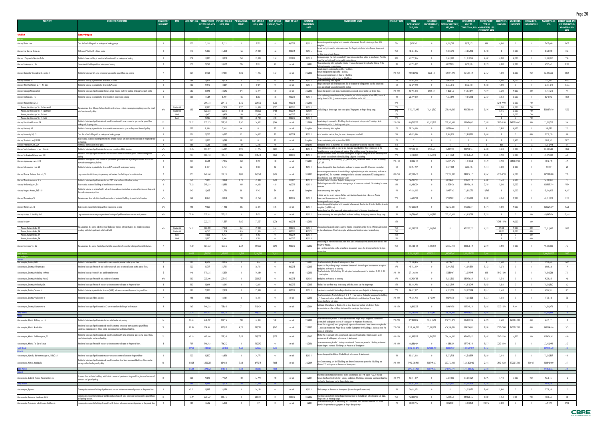|                                                                                         | <b>PROJECT DESCRIPTION</b>                                                                                                                                                                       | NUMBER OI<br><b>BUILDINGS</b> |                            |               | LAND PLOT, HA   TOTAL PROJECT   PIK'S NET SELLING<br>NET SELLING AREA. | AREA, SQM         | <b>PIK'S PARKING</b><br><b>SPACES</b> | PIK'S UNSOLD<br>AREA, SQM | <b>PARKING, SPACES</b>   | PIK'S UNSOLD START OF SALES | ESTIMATED<br><b>COMPLETION</b> | <b>DEVELOPMENT STAG</b>                                                                                                                                                                                            |            | TOTAL<br><b>DEVELOPMENT</b> | INCLUDING                | ACTUAL<br><b>ENCUMBRANCES. DEVELOPMENT COST.</b> | <b>DEVELOPMENT</b><br><b>COST TO</b> | DEVELOPMENT<br><b>COST TO</b> | <b>SALE PRICES.</b> | SALE PRICES,           | RENTAL RATE,<br>USD/SQM USD/SPACE USD/SQM/YEAR | MARKET VALUI<br><b>USD</b> | <b>MARKET VALUE, USD</b><br><b>PER SQM UNSOLD</b> |
|-----------------------------------------------------------------------------------------|--------------------------------------------------------------------------------------------------------------------------------------------------------------------------------------------------|-------------------------------|----------------------------|---------------|------------------------------------------------------------------------|-------------------|---------------------------------------|---------------------------|--------------------------|-----------------------------|--------------------------------|--------------------------------------------------------------------------------------------------------------------------------------------------------------------------------------------------------------------|------------|-----------------------------|--------------------------|--------------------------------------------------|--------------------------------------|-------------------------------|---------------------|------------------------|------------------------------------------------|----------------------------|---------------------------------------------------|
|                                                                                         |                                                                                                                                                                                                  |                               |                            |               | <b>SQM</b>                                                             |                   |                                       |                           |                          |                             | <b>DATE</b>                    |                                                                                                                                                                                                                    |            | COST, USD                   | <b>USD</b>               | <b>YTD, USD</b>                                  | COMPLETION, USD COMPLETION, USD      | <b>PER UNSOLD AREA</b>        |                     |                        |                                                |                            | <b>ABOVEGROUND</b><br><b>AREA</b>                 |
|                                                                                         | lary by region:                                                                                                                                                                                  |                               |                            |               |                                                                        |                   |                                       |                           |                          |                             |                                |                                                                                                                                                                                                                    |            |                             |                          |                                                  |                                      |                               |                     |                        |                                                |                            |                                                   |
|                                                                                         |                                                                                                                                                                                                  |                               |                            |               |                                                                        |                   |                                       |                           |                          |                             |                                | onstruction permit is in place, but it is needed to be renewed. The office building is about 86%                                                                                                                   |            |                             |                          |                                                  |                                      |                               |                     |                        |                                                |                            |                                                   |
| oscow, Zhukov Lane                                                                      | Class B office building with an underground parking garage.                                                                                                                                      |                               |                            | 0.23          | 2,215                                                                  | 2,215             |                                       | 2,215                     | - 6                      | 40 2011                     | 302011                         |                                                                                                                                                                                                                    | 0%         | 7,621,260                   | $\overline{0}$           | 6,550,088                                        | 1,071,172                            | 484                           | 4,200               |                        |                                                | 7,657,000                  | 3,457                                             |
| Moscow, 2nd Maryina Roscha Str                                                          | 250-room 3* hotel with a fitness centre                                                                                                                                                          |                               |                            | 1.40          | 25,030                                                                 | 25,030            | 166                                   | 25,030                    | 166                      | 10 20 14                    | 202015                         | Vacant land plot zoned for hotel development. The Property is included in the Moscow Government<br>Decree                                                                                                          | 25%        | 48,424,416                  |                          | 5.038.998                                        | 43,385,418                           | 1,733                         |                     | 41,200                 |                                                | 8,420,000                  | 336                                               |
| Moscow, 17th proezd of Maryina Rosha                                                    | Residential tower building of prefabricated structure with an underground parking.                                                                                                               |                               |                            | 0.54          | 13,000                                                                 | 13,000            | 253                                   | 13,000                    | 253                      | 202013                      | 202014                         | Hotel Construction in Moscow<br>re-design stage. The site is occupied with five warehouse buildings subject to demolishion. Permitted                                                                              | 30%        | 41,259,856                  | $\overline{\phantom{a}}$ | 9,449,780                                        | 31,810,076                           | 2,447                         | 4,200               | 44,300                 |                                                | 12,346,650                 | 950                                               |
| Moscow, Budennogo av., 26                                                               | 'wo residential buildings with an underground parking.                                                                                                                                           |                               |                            | 1.50          | 24,569                                                                 | 24,569            | 205                                   | 2,117                     | 25                       | on sale                     | 10 20 11                       | <u>e of the land plot should be changed to residential use.</u><br>state comissioning Act is in place for Building 1. Construction permit is in place for Building 2, the                                          | 14%        | 71,255,072                  | $\overline{\phantom{0}}$ | 68,559,037                                       | 2,696,035                            | 1,274                         | 4,800               | 37,000                 |                                                | 6,585,613                  | 3,111                                             |
|                                                                                         |                                                                                                                                                                                                  |                               |                            |               |                                                                        |                   |                                       |                           |                          |                             |                                | Iding is nearing commissioning<br>roject design is under development for 2 buildings.                                                                                                                              |            |                             |                          |                                                  |                                      |                               |                     |                        |                                                |                            |                                                   |
| Moscow, Akademika Vinogradova str., owning 7                                            | Residential buildings with some commerical space on the ground floor and parking.                                                                                                                |                               |                            | 3.39          | 84,166                                                                 | 82,211            | 1,356                                 | 41,226                    | 869                      | on sale                     | 20 20 13                       | onstruction permit is in place for 1 building.<br>conclusion on compliance is in place for 1 building.                                                                                                             | 12%-25%    | 240,735,983                 | 2,228,165                | 139,024,498                                      | 101,711,485                          | 2,467                         | 4,000               | 42,000                 | 250                                            | 82,806,756                 | 2,009                                             |
| Aoscow. Kakhovka Str.                                                                   | Residential building of prefabricated structure KOPE series                                                                                                                                      |                               |                            | 0.64          | 10,877                                                                 | 10,708            |                                       | 106                       |                          | on sale                     | 402010                         | tate commissioning act is in place for 2 building<br>State comissioning Act is in place.                                                                                                                           | 12%        | 15,403,558                  | $\mathbf{0}$             | 15.403.558                                       | - 0                                  |                               | 4,700               | 36,000                 |                                                | 482,512                    | 4,552                                             |
| Moscow. Miklukho-Maklava St., 44-47, bld.6                                              | Residential building of prefabricated structure KOPE series                                                                                                                                      |                               |                            | 1.03          | 24,972                                                                 | 14,387            | $\mathbf{0}$                          | 1,489                     |                          | on sale                     | 202011                         | he project was on hold for a few months due to the absent of felling permit, now the construction<br><u>rks are restored. Construction permit is in place</u>                                                      | 16%        | 16,429,290                  | $\overline{0}$           | 8,265,810                                        | 8,163,480                            | 5,483                         | 4,100               |                        |                                                | $-2,181,074$               | $-1,465$                                          |
| Moscow, Krasnogo Mayaka Stree                                                           | esidential buildings of prefabricated sturcture, single standing multilevel parking, kindergarten, sports centre                                                                                 |                               |                            | 5.82          | 48,596                                                                 | 34,545            | 871                                   | 13,277                    | 489                      | on sale                     | 30 2012                        | Construction permits are in place. Kindergarten is completed. A sport centre is at design stage.                                                                                                                   | 12%-20%    | 95,955,023                  | 3,569,484                | 41,803,176                                       | 54, 151, 847                         | 4,079                         | 3,500               | 29,600                 | 300                                            | $-1,212,518$               | -91                                               |
| Moscow, Lipetskaya st., 46                                                              | tesidential building of prefabricated structure with an underground parking                                                                                                                      |                               |                            | 0.66          | 11,784                                                                 | 8,202             | 136                                   | 8,202                     | 136                      | 20 20 11                    | 402011                         | n the beginning process of construction, residential part is to be completed in June 2011, the rest is<br>ue by the end of 2012, construction permit is valid till the mid of 2011.                                | 18%        | 23,709,812                  | $\overline{\phantom{0}}$ | 4,363,694                                        | 19,346,118                           | 2,359                         | 3,150               | 33,200                 |                                                | 8,240,002                  | 1,005                                             |
| Moscow, Mantulinskaya Str., J                                                           |                                                                                                                                                                                                  |                               |                            |               | 254,173                                                                | 254,173           | 3,763                                 | 254,173                   | 3,763                    | 40 2013                     | 20 20 22                       |                                                                                                                                                                                                                    | 27%        |                             |                          |                                                  |                                      |                               | 8245-9700           | 87,000                 | 780                                            |                            |                                                   |
| Moscow, Mantulinskaya Str., 7 - Residential<br>Moscow Mantulinskava Str. 7 - Apartments | Redevelopment of an old sugar factory site with construction of a mixed-use complex comprising residential, hotel                                                                                | n/a                           | Residential<br>Residential | 6.93          | 87,800<br>122,023                                                      | 87,800<br>122,023 | 1.925<br>1.488                        | 87,800<br>122,023         | 1,925<br>1.488           | 40 2013<br>30 2014          | 102019<br>202022               | buildings of former sugar plant are in place. The project is at the pre-design stage                                                                                                                               | 27%        | 1,193,751,495               | 15,418,760               | 279,970,535                                      | 913,780,960                          | 3,595                         | 9,700<br>8,245      | 87,000<br>87.000       | 780<br>780                                     | 338,687,010                | 1,333                                             |
| Moscow, Mantulinskaya Str., 7 - Hotel                                                   | retail premises and parking.                                                                                                                                                                     |                               | Hotel                      |               | 15,450                                                                 | 15,450            | 150                                   | 15,450                    | 150                      | 10 20 15                    | 402014                         |                                                                                                                                                                                                                    | 27%<br>27% |                             |                          |                                                  |                                      |                               | $\mathbf{0}$        | 87,000                 | 780                                            |                            |                                                   |
| Moscow, Mantulinskaya Str., 7 - Retail                                                  | cesidential buildings of prefabricated and monolith structure with some commercial space on the ground floor,                                                                                    |                               | Retail                     |               | 28,900                                                                 | 28,900            | 200                                   | 28,900                    | 200                      | 10 20 15                    | 402014                         | Project design is approved for 4 buildings. Construction permit is in place tor 3 buildings. State                                                                                                                 | 27%        |                             |                          |                                                  |                                      |                               |                     |                        | 780                                            |                            |                                                   |
| Moscow, Novo-Peredelkino mcr.14                                                         | <u>urking and shopping centre</u>                                                                                                                                                                |                               |                            | 21.22         | 213,573                                                                | 211,302           | 1,563                                 | 34,482                    | 1,244                    | on sale                     | 20 20 14                       | <u>missioning act for 11 buildings are in place.</u>                                                                                                                                                               | 12%-23%    | 410,763,729                 | 83,620,210               | 297,347,630                                      | 113,416,099                          | 3,289                         | 3000-3150           | 24900-26643            | 500                                            | 13,595,512                 | 394                                               |
| Moscow, Orekhoviy bld.                                                                  | Residential building of prefabricated structure with some commercial space on the ground floor and parking                                                                                       |                               |                            | 0.72          | 8,398                                                                  | 5,863             | 64                                    | $\mathbf{0}$              | -15                      | on sale                     | Completed                      | State comissioning Act is in place.                                                                                                                                                                                | 12%        | 18,276,646                  | $\overline{\phantom{0}}$ | 18,276,646                                       | $\overline{\phantom{0}}$             |                               | 3,480               | 34,600                 |                                                | 500,392                    | 953                                               |
| Aoscow, Presnensky Val, 21                                                              | $\cos B +$ office building with an underground parking garage                                                                                                                                    |                               |                            | 0.16          | 20,950                                                                 | 16,027            | 73                                    | 16,027                    | 73                       | 10 20 14                    | 402013                         | Act of permitted use is in place, the project development is on hold.                                                                                                                                              | 25%        | 40,813,346                  | $\overline{\phantom{0}}$ | 1,380,125                                        | 39,433,221                           | 2,460                         |                     |                        | 480                                            | 5,737,720                  | 358                                               |
| Moscow, Shmitovsky pr-d, bld.20                                                         | Business class residential building of monolithic concrete structure with some commercial space on the ground floor<br>ınd parking.                                                              |                               |                            | 0.73          | 15,833                                                                 | 15,240            | 70                                    | $\overline{0}$            | -15                      | on sale                     | Completed                      | State commissioning act is in place dated 2008                                                                                                                                                                     | 12%        |                             | $\overline{\phantom{0}}$ |                                                  | $\overline{\phantom{0}}$             |                               |                     | 81,400                 |                                                | 1,068,591                  | 2,035                                             |
| Aoscow, Ryabinovaya, str., 22A                                                          | <u>Warehouse premises with office space.</u>                                                                                                                                                     |                               |                            | 3.85<br>11.35 | 12,285<br>135,427                                                      | 12,285            | 100<br>1,234                          | 12,285                    | 100<br>1,234             |                             | Completed<br>402014            | <u>Land parcel is Held as Investment and currently occupied with warehouse/ industrial building</u><br>3 Iste commissioning act is in place for one municipal panel building. Three buildings are at the           | n/a        | 239,198,144                 | 3,543,665                | 25,217,593                                       | 213,980,551                          | 2,633                         | 864<br>3,843        | 31,000                 | 166<br>0                                       | 10.613.448<br>83,089,783   | 864                                               |
| Moscow, South Chertanovo, 17 and 18 districts                                           | Residential buildings of prefabricated structure and monolith and brick structure<br>cesidential buildings of prefabricated structure with some commercial space on ground floor and underground | n/a                           |                            |               |                                                                        | 86,117            |                                       | 81,275                    |                          | on sale                     |                                | <u>dation stage, construction permits are due. Other buildings were at the design stage</u><br>Moscow Government Decree about land redevelopment is in place. Land parcel is Held for Development                  | 23%        |                             |                          |                                                  |                                      |                               |                     |                        |                                                |                            | 1,022                                             |
| Moscow, Varshavskoe highway, own. 141                                                   | kesidential buildings with some commercial space on the ground floor of P3M, KOPE prefabricated structure and                                                                                    |                               |                            | 7.37          | 120,748                                                                | 114,711           | 1,066                                 | 114,711                   | 1,066                    | 30 2013                     | 402018                         | d currently occupied with industrial buildings subject to demolishing.<br>State comissioning Acts for Buildings 1,2,3,4 are in place, construction permit is in place for buildings                                | 27%        | 184,785,034                 | 10,163,478               | 2,914,364                                        | 181,870,670                          | 1,585                         | 3,700               | 34,000                 | 0                                              | 78,393,332                 | 683                                               |
| Moscow, Zapovednaya, own.14-16                                                          | <u>onolith concrete parking facilities</u>                                                                                                                                                       |                               |                            | 4.39          | 86,724                                                                 | 59,275            | 460                                   | 2,452                     | 138                      | on sale                     | 20 20 11                       |                                                                                                                                                                                                                    | 12%-16%    | 148,286,154                 | $\overline{\phantom{0}}$ | 137,075,576                                      | 11,210,578                           | 4,572                         | 3,700               | 30400-32528            |                                                | 1,042,790                  | 425                                               |
| Moscow, Kolomenskaya Emb., 22                                                           | Residential building of prefabricated structure KOPE series with underground parking.                                                                                                            |                               |                            | 0.66          | 8,347                                                                  | 5,753             | 66                                    | 2,103                     | 66                       | on sale                     | 402011                         | Construction permit in place. Construction works are in progress, around 5-6 floors are constructed.                                                                                                               | 16%        | 15,357,919                  | $\overline{\phantom{0}}$ | 6,077,134                                        | 9,280,785                            | 4,413                         | 3,800               | 32,800                 |                                                | 51,042                     | 24                                                |
| Moscow, Moscow, Kuntsevo, districts 7;20                                                | Large residential district comprising economy and business class buildings of monolith structure.                                                                                                |                               |                            | 0.95          | 169,260                                                                | 166,126           | 1,818                                 | 150,361                   | 1,734                    | on sale                     | 30 2017                        | onstruction permit certificate for one building is in place (building is under construction, works are on<br>the ground level). The investment contract provides for additional construction of 7 buildings on the | 18%-25%    | 492,798,458                 | $\overline{0}$           | 151,962,339                                      | 340,836,119                          | 2,267                         | 4350-4770           | 52,500                 |                                                | 147,000,000                | 978                                               |
| Moscow, Marshala Zakharova st., 7                                                       | Residential buildings of prefabricated structure KOPE series and monolith surface parking                                                                                                        | n/a                           |                            | 1.70          | 73,890                                                                 | 73,890            |                                       | 73,890                    | 1,731                    | 30201                       | 402014                         | lace of existing ones, after the Moscow Gover.<br>Permitted Use Act is in place. Project is at design stage.                                                                                                       | 25%        | 246, 987, 593               |                          | 63,584,401                                       | 183,403,192                          | 2,482                         | 3,540               | 34,600                 |                                                | 54,030,455                 | -731                                              |
| Moscow, Mitchurinsky pr-t, 5-6                                                          | Business class residential buildings of monolith concrete structure.                                                                                                                             |                               |                            | 19.03         | 399,429                                                                | 64,883            | 439                                   | 64,883                    | 439                      | 40 2011                     | 402014                         | e building related to PIK's share is at design stage. All permits are outdated, PIK is looking for a new                                                                                                           | 23%        | 242,484,734                 | - 0                      | 61,528,436                                       | 180,956,298                          | 2,789                         | 5,000               | 47,000                 |                                                | 100,805,799                | 1,554                                             |
| Moscow, Prospect Mira av., 165-169                                                      | esidential building of variable heights with cast reinforced concrete structure, commercial premises on the ground<br><u>oor and underground parking</u>                                         |                               |                            | 0.40          | 12,605                                                                 | 11,776            | 88                                    | 1,243                     | - 54                     | on sale                     | Completed                      | State comissioning Act is in place.                                                                                                                                                                                | 12%        | 41,838,235                  | $\overline{0}$           | 28,457,163                                       | 13,381,072                           | 10,765                        |                     | 64,000                 |                                                | $-5,540,425$               | $-4,457$                                          |
| Moscow, Mironovskaya St.                                                                | Redevelopment of an industrial site with construction of residential buildings of prefabricated structure.                                                                                       | n/a                           |                            | 2.64          | 43,250                                                                 | 43,250            | 700                                   | 43,250                    | 700                      | 40 20 12                    | 202014                         | l former weaving factory occupies the land plot. Developer has obtained a Decree of Moscow<br>Government for redevelopment of the site.                                                                            | 27%        | 116,605,921                 | $\overline{0}$           | 37,369,811                                       | 79,236,110                           | 1,832                         | 4,150               | 39,000                 |                                                | 48,919,871                 | 1,131                                             |
|                                                                                         |                                                                                                                                                                                                  |                               |                            |               |                                                                        |                   |                                       |                           |                          |                             |                                | re-desian works are in proares                                                                                                                                                                                     |            |                             |                          |                                                  |                                      |                               |                     |                        |                                                |                            |                                                   |
| Moscow, Mytnaya Str., 13                                                                | Business-class residential buildings with an underground parking.                                                                                                                                | n/a                           |                            | 4.58          | 99,069                                                                 | 71,463            | 835                                   | 33,891                    | 835                      | on sale                     | 302012                         | Construction permit is in place, but it is needed to be renewed. Construction of the first building is nearly<br>mpleted (14/18 floors).                                                                           | 16%        | 287,600,615                 |                          | 112,237,301                                      | 175,363,314                          | 5,174                         | 9,800               | 90,000                 |                                                | 160,224,369                | 4,728                                             |
| Moscow, Okskaya St.-Volzhsky Blvd.                                                      | Large residential district comprising reisdential buildings of prefabricated structure and retail premises                                                                                       | n/a                           |                            | 17.86         | 233,992                                                                | 233,992           |                                       | 5,625                     | $\overline{\phantom{0}}$ | on sale                     | 302012                         | <u>istruction of two other towers and underground parking is in the course of development.</u><br>State comissioning Acts are in place for all residential buildings. A shopping centre is at design stage.        | 14%        | 296,784,647                 | 35,685,880               | 253,361,628                                      | 43,423,019                           | 7,720                         |                     |                        | 380                                            | $-28,947,824$              | $-5,146$                                          |
|                                                                                         |                                                                                                                                                                                                  |                               |                            |               |                                                                        |                   |                                       |                           |                          |                             |                                |                                                                                                                                                                                                                    |            |                             |                          |                                                  |                                      |                               |                     |                        |                                                |                            |                                                   |
| oscow, Park city                                                                        |                                                                                                                                                                                                  |                               |                            |               | 220,175                                                                | 71,557            | 1,807                                 | 71,557                    | 1,276                    | 10 20 13                    | 40 20 20                       |                                                                                                                                                                                                                    | 25%        |                             |                          |                                                  |                                      |                               | 10795-12700         | 90,000                 | 800                                            |                            |                                                   |
| Moscow, Kutuzovsky Av., 14                                                              | edevelopment of a former industrial site of Badaevsky Brewery, with construction of a mixed-use complex<br>including residential, apartments, retail, and hotel                                  | n/a                           | Residential                | 14.32         | 120,000                                                                | 39,000            | 861                                   | 39,000                    | 861                      | 10 2013                     | 202018                         | he developer has a preliminary design for the area development, and a Decree of Moscow Governme'<br>n site redevelopment. The site is occupied with industrial buildings subject to demolishing.                   | 25%        | 452,395,707                 | 13,084,262               |                                                  | 452,395,707                          | 6,322                         | 12,700              | 90,000                 | 800                                            | 77,812,408                 | 1,087                                             |
| Moscow. Kutuzovsky Av., 14<br>Moscow, Kutuzovsky Av., 14                                |                                                                                                                                                                                                  |                               | Residential<br>Retail      |               | 65.550<br>14,625                                                       | 21 304<br>4,753   | 415<br>531                            | 21 304<br>4,753           | 415<br>$\mathbf{0}$      | 10 20 15<br>40 20 14        | 402020<br>302014               |                                                                                                                                                                                                                    | 25%<br>25% |                             |                          |                                                  |                                      |                               | 10.795              | 90,000<br>$\mathbf{0}$ | 800<br>800                                     |                            |                                                   |
| Moscow, Kutuzovsky Av., 14                                                              |                                                                                                                                                                                                  |                               | Hotel                      |               | 20,000                                                                 | 6,500             |                                       | 6,500                     |                          | 10 2015                     | 402014                         | The buildings of the former chemical plant are in place. The Developer has an investment contract with                                                                                                             | 25%        |                             |                          |                                                  |                                      |                               |                     |                        | 800                                            |                            |                                                   |
| Moscow, Perovskaya Str., 66                                                             | Redevelopment of a former chemical plant with the construction of residential buildings of monolith structure.                                                                                   |                               |                            | 15.32         | 127,363                                                                | 127,363           | 2,699                                 | 127,363                   | 2,699                    | 40 20 12                    | 40 2016                        | : City of Moscow.                                                                                                                                                                                                  | 25%        | 385,738,155                 | 10,208,519               | 121,867,710                                      | 263,870,445                          | 2,072                         | 3,400               | 27,300                 |                                                | 90,036,923                 | 707                                               |
|                                                                                         |                                                                                                                                                                                                  |                               |                            |               |                                                                        |                   |                                       |                           |                          |                             |                                | and a positive conclusion on the general area development project. The development project is at pre-                                                                                                              |            |                             |                          |                                                  |                                      |                               |                     |                        |                                                |                            |                                                   |
|                                                                                         |                                                                                                                                                                                                  |                               |                            | 149.39        |                                                                        |                   |                                       | 1,196,233                 |                          |                             |                                |                                                                                                                                                                                                                    |            |                             | 77 522 42                |                                                  | 3,478,173,7                          |                               |                     |                        |                                                | 300 266 13                 |                                                   |
| ioscow region, Dmitrov, DZFS                                                            | esidential buildings of brick structure with some commercial premises on the ground floor                                                                                                        |                               |                            | 3.89          | 46,627                                                                 | 43,956            |                                       | 866                       |                          | on sale                     | 20 20 11                       | State Commissioning Acts for all buildings are in place.                                                                                                                                                           | 12%        | 53,550,435                  | $\mathbf{0}$             | 53,550,435                                       | $\sqrt{2}$                           |                               | 1,500               |                        |                                                | 1,228,624                  | 1,419                                             |
| Moscow region, Dmitrov, Shlyuzovaya st.                                                 | cesidential buildings of monolith and brick structure with some commercial spaces on the ground floors.                                                                                          |                               |                            | 2.30          | 41,717                                                                 | 36,711            | $\mathbf{0}$                          | 36,711                    | $\overline{\phantom{0}}$ | 30 2013                     | 40 2015                        | roject is at the pre-design stage. Investment Contract with Dmitrov Region Administration is in place.<br><u>nd plot is in the course of rehousing</u>                                                             | 27%        | 45,783,219                  | $\overline{\phantom{0}}$ | 3,091,705                                        | 42,691,514                           | 1,163                         | 1,670               |                        |                                                | 6,569,686                  | 179                                               |
| Moscow region, Dmitrov, Makhalina, 1st Phase                                            | tesidential builings of monolith and prefabricated structure                                                                                                                                     |                               |                            | 4.46          | 111,635                                                                | 35,324            | $\mathbf{0}$                          | 19,330                    | $\overline{\phantom{0}}$ | on sale                     | 40 2013                        | State Comissioning Act for building $#3$ is in place. Construction permits for buildings $##4, 8, 13,$<br>are in place                                                                                             | 12%-18%    | 37,120,110                  | $\overline{\phantom{0}}$ | 25,080,961                                       | 12,039,149                           | 623                           | 1540-1600           |                        | $\overline{\phantom{0}}$                       | 15,329,286                 | 793                                               |
| Moscow region, Dmitrov, Makhalina, Phase 2                                              | tesidential buildings of monolith and prefabricated structure                                                                                                                                    | n/a                           |                            | 0.00          | 232,100                                                                | 201,927           | $\mathbf{0}$                          | 201,927                   | $\overline{\phantom{0}}$ | 30 2013                     | 102020                         | Land plot is in the course of rehousing                                                                                                                                                                            | 27%        | 237,904,189                 | $\overline{\phantom{0}}$ | 1,927,530                                        | 235,976,659                          | 1,169                         | 1,540               |                        | 0                                              | 9,239,855                  | 46                                                |
| Moscow region, Dmitrov, Moskovskya Str.                                                 | cesidential buildings of monolith structure with some commercial space on the ground floors                                                                                                      |                               |                            | 3.00          | 43,644                                                                 | 42,041            | $\mathbf{0}$                          | 42,041                    | $\overline{0}$           | 30 2012                     | 10 2015                        | The land plot is at final stage of rehousing, while the project is at the design stage.                                                                                                                            | 25%        | 50,645,998                  | $\overline{0}$           | 6,827,949                                        | 43,818,049                           | 1,042                         | 1,860               |                        | $\mathbf{0}$                                   | 15,228,960                 | 362                                               |
| Moscow region, Dmitrov, Sennaya st                                                      | cesidential building of prefabricated structure (SMKD) with some commercial space on the ground floor                                                                                            |                               |                            | 0.89          | 22,033                                                                 | 19,830            | $\mathbf{0}$                          | 19,830                    | $\overline{\phantom{0}}$ | 10 20 12                    | 302013                         | Investment contract with Dmitrov Region Administartion is in place. Project is at the design stage.                                                                                                                | 27%        | 24,697,387                  | $\overline{\phantom{a}}$ | 4,524,673                                        | 20,172,714                           | 1,017                         | 1,540               |                        | $^{\circ}$                                     | 6,326,361                  | 319                                               |
|                                                                                         |                                                                                                                                                                                                  |                               |                            |               |                                                                        |                   |                                       |                           |                          |                             |                                | state Commissioning Acts for buildings 1, 2, 3, 9, 10 are in place. Masterplan is approved for buildings                                                                                                           |            |                             |                          |                                                  |                                      |                               |                     |                        |                                                |                            |                                                   |
| Moscow region, Dmitrov, Vnukovskaya st.                                                 | Residential buildings of brick structure                                                                                                                                                         |                               |                            | 4.58          | 49,563                                                                 | 43,161            |                                       | 16,241                    | - 0                      | on sale                     | 10 2013                        | 5. Investment contract with Dmitrov Region Administration and Ministry of Moscow Region<br>onstruction Sector is in place.                                                                                         | 12%-23%    | 49,275,948                  | 3,143,009                | 30,244,610                                       | 19,031,338                           | 1,172                         | 1,420               |                        |                                                | 1,130,438                  | 70                                                |
| Moscow region, Dmitrov, Kosmonavtov st                                                  | desidential buildings of prefabricated SMKD structure and one building of brick structure                                                                                                        |                               |                            | 1.62          | 144,528                                                                | 128,449           | 21                                    | 111,424                   |                          | on sale                     | 20 20 14                       | ertificate of Compliance for Building 1 is in place. Investment contract with Dmitrov Region.                                                                                                                      | 12%-25%    | 148,810,309                 | $\overline{\phantom{0}}$ | 33,461,070                                       | 115,349,239                          | 1,035                         | 1320-1370           | 9,844                  |                                                | 14,836,474                 | 133                                               |
| al, Dmitrov                                                                             |                                                                                                                                                                                                  |                               |                            | 20.74         | 691,847                                                                | 551 399           |                                       | 448,370                   | $\overline{\mathbf{0}}$  |                             |                                | dministration for other buildings which are at the pre-design stage is in place.                                                                                                                                   |            | 647,787,595                 | 3,143,009                | 158,708,933                                      | 489,078,662                          | 1091                          |                     |                        |                                                | 69,889,684                 | - 156                                             |
|                                                                                         |                                                                                                                                                                                                  |                               |                            |               |                                                                        |                   |                                       |                           |                          |                             |                                | State Commissioning Acts for 10 buildings are obtained. Project design is approved. Construction                                                                                                                   |            |                             |                          |                                                  |                                      |                               |                     |                        |                                                |                            |                                                   |
| Moscow region, Khimki, Ubileiniy, mcr.1A                                                | esidential buildings of prefabricated structure, retail centre and parking                                                                                                                       | 16                            |                            | 20.34         | 274,702                                                                | 216,956           | 930                                   | 47,394                    | 502                      | on sale                     | 20 20 13                       | mits for 5 buildings are received. 5 buildings are in the process of construction.                                                                                                                                 | 12%-20%    | 372,060,832                 | 22,611,793               | 256,977,474                                      | 115,083,358                          | 2,428                         | 2,500               | 16800-17800            | 460                                            | 6,735,191                  | 142                                               |
| Moscow region, Khimki, Novokurkino                                                      | esidential buildings of prefabricated and monolith structure, commercial premises on the ground floors,<br>tandalone shopping centres, fitness centre, aboveground and underground parking.      |                               |                            | 81.00         | 824,681                                                                | 820,078           | 4,718                                 | 285,506                   | 4,260                    | on sale                     | 20 20 17                       | Master Plan is approved, but is going through a process of modification. State Commissioning Acts for<br>16 buildings are obtained. Project design is under development for 4 buildings. 8 buildings are in the    | 12%-25%    | 1,178,544,063               | 99,886,679               | 654,350,006                                      | 524,194,057                          | 1,836                         | 2500-2600           | 16800-17800            | 460                                            | 149,774,676                | 525                                               |
|                                                                                         | esidential buildings of prefabricated and monolith structure with some commercial space on the ground floors,                                                                                    |                               |                            |               |                                                                        |                   |                                       |                           |                          |                             |                                | cess of construction.<br>Master Plan is approved, but is going through a process of modification. Project design is under                                                                                          |            |                             |                          |                                                  |                                      |                               |                     |                        |                                                |                            |                                                   |
| Moscow region, Khimki, Sovkhoznaya str., 11                                             | stand alone shopping centres and parking.                                                                                                                                                        |                               |                            | 41.13         | 405,660                                                                | 328,240           | 3,978                                 | 288,377                   | 3,978                    | on sale                     | 20 20 17                       | velopment. 6 buildings are in the course of development                                                                                                                                                            | 18%-25%    | 602,885,511                 | 39,702,230               | 116,394,032                                      | 486,491,479                          | 1,687                         | 2140-2230           | 16,800                 | 360                                            | 115,436,302                | 400                                               |
| Moscow region, Khimki, The Star of Russia                                               | cesidential buildings of monolith structure with some commercial space on the ground floors.                                                                                                     |                               |                            | 7.09          | 196,782                                                                | 196,782           |                                       | 130,390                   | $\overline{\phantom{0}}$ | on sale                     | 40 2016                        | State Commissioning Acts for 3 buildings are obtained. Construction permit for 1 building is obtained.<br><u>roject design is approved. 1 building is in the course of development</u>                             | 12%-23%    | 238,836,464                 | $\overline{0}$           | 41,088,309                                       | 197,748,155                          | 1,517                         | 2280-2440           |                        |                                                | 37,468,491                 | 287                                               |
| ıl, Khimki                                                                              |                                                                                                                                                                                                  |                               |                            | 149.56        | 1 701 825                                                              | 1.562.056         | 9,626                                 | 751.667                   | 8.740                    |                             |                                |                                                                                                                                                                                                                    |            | 2.392.326.870               | 162,200,702              | 1.068.809.821                                    | 1.323.517.049                        | 1761                          |                     |                        |                                                | 309.414.660                | 412                                               |
| Moscow region, Mytischi, 3rd Krestyanskaya str., bld.60-62                              | Residential buildings of prefabricated structure with some commercial space on the ground floor                                                                                                  |                               |                            | 2.30          | 42,820                                                                 | 42,820            | $\overline{0}$                        | 24,772                    | $\overline{\phantom{0}}$ | on sale                     | 302012                         | onstruction permit is obtained. The building is in the course of development.                                                                                                                                      | 18%        | 53,831,042                  | $\overline{\phantom{a}}$ | 8,270,723                                        | 45,560,319                           | 1,839                         | 2,440               |                        | 0                                              | 11,027,837                 | 445                                               |
|                                                                                         | Residential buildings of prefabricated and monolith structure, stand alone commercial buildings, fitness centre,                                                                                 |                               |                            |               |                                                                        |                   |                                       |                           |                          |                             |                                | Sate Commissioning Acts for 12 buildings are obtained. Construction permits for 4 buildings are                                                                                                                    |            |                             |                          |                                                  |                                      |                               |                     |                        |                                                |                            |                                                   |
| Moscow region, Mytishi, Yaroslavsky                                                     | boveground and underground parking                                                                                                                                                               | - 58                          |                            | 114.25        | 1,150,201                                                              | 834,020           | 7,608                                 | 677,315                   | 7,608                    | on sale                     | 20 20 19                       | obtained. 10 buildings are in the course of development.                                                                                                                                                           | 12%-23%    | 1,993,580,911               | 208,749,667              | 337,772,448                                      | 1,655,808,463                        | 2,445                         | 2550-2660           | 17000-17800            | 200-461                                        | 230,843,000                | 341                                               |
| otal, Mytischi                                                                          |                                                                                                                                                                                                  |                               |                            | 116.55        | 1,193,021                                                              | 876,840           | 7,608                                 | 702,087                   | 7,608                    |                             |                                |                                                                                                                                                                                                                    |            | 2,047,411,953               | 208,749,667              | 346,043,171                                      | 1,701,368,782                        | 2,423                         |                     |                        |                                                | 241,870,837                | 345                                               |
| Moscow region, Dedovsk, Nogina - Pervomaiskaya str.                                     | Economy class residential buildings with built-in commercial premises on the ground floor, detached commercial                                                                                   |                               |                            | 3.68          | 90,848                                                                 | 79,109            | 100                                   | 67,970                    | 100                      | on sale                     | 40 2017                        | westment contract between Istrinskiy district Administration and "PIK-Region" CJSC is in place.<br>Construction Permit Certificate for 1 building is obtained, 5 buildings, commercial premises and parking        | 14%-27%    | 95,341,029                  |                          | 7,339,100                                        | 88,001,929                           | 1,295                         | 1,740               | 12,500                 | 260                                            | 9,678,454                  | 142                                               |
| 'otal, Dedovsk                                                                          | remises, and ground parking.                                                                                                                                                                     |                               |                            | 3.68          | 90,848                                                                 | 79,109            |                                       | 67,970                    |                          |                             |                                | held for development and at the pre-design stage                                                                                                                                                                   |            | 95,341,029                  | $\overline{\phantom{0}}$ | 7.339.100                                        | 88,001,929                           | 1.295                         |                     |                        |                                                | 9,678,454                  | 142                                               |
| ioscow region, Pykhtino                                                                 | conomy class residential building of prefabricated structure with some commercial premises on the ground floor.                                                                                  |                               |                            | 40.91         | 29,888                                                                 | 16,199            |                                       | 16,199                    |                          | on sale                     | 402011                         | The Property is in the course of development (the initial stage of construction)                                                                                                                                   | 18%        | 26,029,672                  |                          |                                                  | 26,029,672                           | 1,607                         | 1,800               |                        |                                                | 2,138,368                  | 132                                               |
|                                                                                         |                                                                                                                                                                                                  |                               |                            |               |                                                                        |                   |                                       |                           |                          |                             |                                |                                                                                                                                                                                                                    |            |                             |                          |                                                  |                                      |                               |                     |                        |                                                |                            |                                                   |
| Moscow region, Yakhroma, Levobereje district                                            | conomy class residential buildings of prefabricated structure with some commercial premises on the ground floors<br><u>nd parking facilities.</u>                                                | 12                            |                            | 18.49         | 268,562                                                                | 241,454           | $\mathbf{0}$                          | 241,454                   | $\overline{\phantom{0}}$ | 20 20 12                    | 30 2016                        | westment contract with Dmitrov Region Administration for 150,000 sqm net selling area is in place.<br><u>ne project is at the design stage.</u>                                                                    | 25%        | 258,012,940                 | $\overline{\phantom{a}}$ | 15,992,473                                       | 242,020,467                          | 1,002                         | 1,250               | 7,380                  | 200                                            | 7,260,604                  | 30                                                |
| Moscow region, Scherbinka, Industrialnaya-Chekhova st.                                  | conomy class residential building of monolith-brick structure with some commercial premises on the ground floor.                                                                                 | $\overline{2}$                |                            | 1.04          | 16,722                                                                 | 16,234            | $\mathbf{0}$                          | 132                       | $\overline{0}$           | on sale                     | 10 20 11                       | State Commissioning Act for the building $#21$ is obtained. Land plots total area of 0.309 ha are<br>ended for private housing, project is at the pre-designed stage.                                              | 12%        | 32,030,775                  | $\overline{0}$           | 13,122,301                                       | 18,908,474                           | 143,246                       | 2,300               |                        |                                                | 649,174                    | 4,918                                             |

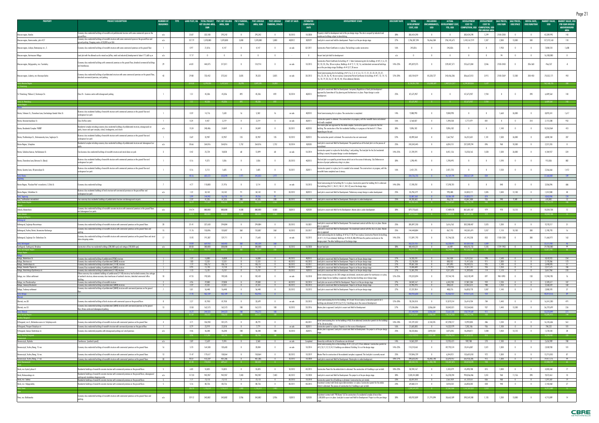| <b>PROPERTY</b>                                                                               | <b>PROJECT DESCRIPTION</b>                                                                                                                                                                                                    | <b>NUMBER OF</b> | <b>TYPE</b>   | LAND PLOT. HA TOTAL PROJECT PIK'S NET SELLING |                   | PIK'S PARKING    | PIK'S UNSOLD      | PIK'S UNSOLD             | <b>START OF SALES</b> | <b>ESTIMATED</b>                 | <b>DEVELOPMENT STAGE</b>                                                                                                                                                                                                                                                          | <b>DISCOUNT RATE</b> | <b>TOTAL</b>                    | INCLUDING                         | ACTUAL                               | <b>DEVELOPMENT</b>                                | <b>DEVELOPMENT</b><br><b>COST TO</b> | <b>SALE PRICES.</b><br>USD/SQM | <b>SALE PRICES,</b> | RENTAL RATE.<br><b>USD/SOM/YEAR</b> | <b>MARKET VALUE</b>     | <b>MARKET VALUE, USD</b>            |
|-----------------------------------------------------------------------------------------------|-------------------------------------------------------------------------------------------------------------------------------------------------------------------------------------------------------------------------------|------------------|---------------|-----------------------------------------------|-------------------|------------------|-------------------|--------------------------|-----------------------|----------------------------------|-----------------------------------------------------------------------------------------------------------------------------------------------------------------------------------------------------------------------------------------------------------------------------------|----------------------|---------------------------------|-----------------------------------|--------------------------------------|---------------------------------------------------|--------------------------------------|--------------------------------|---------------------|-------------------------------------|-------------------------|-------------------------------------|
|                                                                                               |                                                                                                                                                                                                                               | <b>BUILDINGS</b> |               | <b>NET SELLING AREA,</b><br>sQM               | AREA, SQM         | <b>SPACES</b>    | AREA, SQM         | <b>PARKING, SPACES</b>   |                       | <b>COMPLETION</b><br><b>DATE</b> |                                                                                                                                                                                                                                                                                   |                      | <b>DEVELOPMENT</b><br>COST, USD | <b>ENCUMBRANCES</b><br><b>USD</b> | <b>DEVELOPMENT COST,</b><br>YTD, USD | <b>COST TO</b><br>COMPLETION, USD COMPLETION, USD |                                      |                                | USD/SPACE           |                                     | <b>USD</b>              | PER SQM UNSOL<br><b>ABOVEGROUND</b> |
|                                                                                               | conomy class residential buildings of monolith and prefabricated structure with some commercial space on the :                                                                                                                |                  |               |                                               |                   |                  |                   |                          |                       |                                  | perty is held for development and at the pre-design stage. The site is occuped by industrial and                                                                                                                                                                                  |                      |                                 |                                   |                                      |                                                   |                                      |                                |                     |                                     |                         | AREA                                |
| Moscow region, Korolev                                                                        | ound floo<br>Economy class residential buildings of monolith structure with some commercial space on the ground floor and                                                                                                     | n/a              | 23.07         | 323,180                                       | 295,242           | $\mathbf{0}$     | 295,242           | $\mathbf{0}$             | 10 2013               | 10 2028                          | <u>ouse buildings subject to demolishing</u>                                                                                                                                                                                                                                      | 30%                  | 383,424,290                     | $\overline{\phantom{0}}$          |                                      | 383,424,290                                       | 1,299                                | 2100-2200                      |                     | $\mathbf{0}$                        | 42,289,992              | 143                                 |
| Moscow region, Kommunarka, plot #27                                                           | round parking. Shopping centre of 28,000 sq m GLA                                                                                                                                                                             | n/a              | 127.79        | 1,078,800                                     | 1,078,800         | 5,800            | 1,078,800         | 5,800                    | 402012                | 302029                           | Land plot is vacant and held for development. Project is at the pre-design stage                                                                                                                                                                                                  | 27%                  | 1,706,307,594                   | 96,466,504                        | 296,145,675                          | 1,410,161,919                                     | 1,307                                | 2,380                          | 13,000              | 500                                 | 127,375,160             | 118                                 |
| Moscow region, Lobnya, Batareynaya str., 5                                                    | Economy class residential buildings of monolith structure with some commercial premises on the ground floor                                                                                                                   |                  | 0.97          | 21,816                                        | 4,147             |                  | 4,147             |                          | on sale               | Q3 2011                          | Construction Permit Certificate is in place. The building is under construction                                                                                                                                                                                                   | 16%                  | 245,826                         | 0                                 | 245,826                              |                                                   |                                      | 1,950                          |                     |                                     | 7,000,510               | 1,688                               |
| Moscow region, Kartmazovo Village                                                             | Land plot with the allowed use for mixed use (office, retail and industrial) development of about 171,668 sq m                                                                                                                | n/a              | 17.17         | $\mathbf{0}$                                  | $\overline{0}$    | $\mathbf{0}$     | $\overline{0}$    | $\overline{\phantom{0}}$ |                       | $\overline{0}$                   | Vacant land plot held for development                                                                                                                                                                                                                                             | n/a                  | $\mathbf{0}$                    | $\overline{0}$                    |                                      | $\overline{0}$                                    | $\overline{\mathbf{0}}$              | 94                             |                     | 0                                   | 16,100,000              | $\overline{0}$                      |
|                                                                                               |                                                                                                                                                                                                                               |                  |               |                                               |                   |                  |                   |                          |                       |                                  |                                                                                                                                                                                                                                                                                   |                      |                                 |                                   |                                      |                                                   |                                      |                                |                     |                                     |                         |                                     |
| Moscow region, Dolgoprudny, mcr. Tsentralny                                                   | Economy class residential buildings with commercial premises on the ground floor, detached commercial buildings<br>and townhouses.                                                                                            |                  | 64.81         | 444,075                                       | 317,811           |                  | 124,914           |                          | on sale               | 10 2015                          | onstruction Permit Certificate for building $\#$ 1. State Comissioning Acts for buildings $\# \# 2$ , 4, 6, 31,<br>32, 33, 35, 35a, 38 are in place; Buildings # # 9, 11, 52, 16, and detached commercial buildings<br>re at the pre-design stage. Buildings $# # 8,17,18$ are on | 14%-23%              | 495,029,375                     |                                   | 239,407,571                          | 255,621,804                                       | 2,046                                | 2100-2450                      |                     | 206-360                             | $-966,537$              | -8                                  |
| Moscow region, Lubertcy, mcr.Krasnaya Gorka                                                   | Ecomony class residential buildings of prefabricated structure with some commercial premises on the ground floor,<br>detached commercial premises, and parking.                                                               | 43               | 29.80         | 733,452                                       | 373,361           | 3,835            | 78,323            | 3,835                    | on sale               | 30 2013                          | , State Commissioning Acts for buildings ##1,1a, 2, 3, 4, 5, 6, 12, 17, 21, 22, 23, 24, 25, 31<br>31a, 32, 34, 36, 45, 46 are in place; Construction Permit Certificates for buildings ##7, 13, 14, 15,<br>6, 18, 19, 20, 26, 37, 38, 43, 44, 47are obtained; Detache             | 12%-20%              | 650,104,019                     | 85,328,727                        | 343,436,206                          | 306,667,813                                       | 3,915                                | 2100-2369                      | 12,500              | 200-450                             | $-70,532,171$           | $-901$                              |
|                                                                                               |                                                                                                                                                                                                                               |                  | 614.58        | 6.594.036                                     | 5.412.65          | 26.990           | 3.809.305         | - 26.083                 |                       |                                  |                                                                                                                                                                                                                                                                                   |                      | 8.734.051.938                   | 555.888.609                       | 2.489.251.077                        | 6,244,800,86                                      | - 1.639                              |                                |                     |                                     | 762.168.735             |                                     |
|                                                                                               |                                                                                                                                                                                                                               |                  |               |                                               |                   |                  |                   |                          |                       |                                  | Land plot is vacant and Held for Development. Temporary Regulations of land plot development                                                                                                                                                                                      |                      |                                 |                                   |                                      |                                                   |                                      |                                |                     |                                     |                         |                                     |
| St. Petersburg, Pulkovo-3, Startovaya Str.                                                    | $\cos B + \text{ business centre with above}$                                                                                                                                                                                 |                  | 1.51          | 45,336                                        | 45,336            | 892              | 45,336            | 892                      | 10 20 14              | 402013                           | proved by Committee of City planning and Architecture is in place. Project design is under                                                                                                                                                                                        | 25%                  | 87,675,907                      | $\overline{0}$                    |                                      | 87,675,907                                        | 1,934                                |                                |                     | 390                                 | 6,489,564               | 143                                 |
|                                                                                               |                                                                                                                                                                                                                               |                  |               | 45.336                                        | 45.336            |                  | 45,336            | - 892                    |                       |                                  |                                                                                                                                                                                                                                                                                   |                      | 87.675.907                      |                                   |                                      | 87,675,907                                        | - 1.934                              |                                |                     |                                     | 6.489.564               |                                     |
|                                                                                               |                                                                                                                                                                                                                               |                  |               |                                               |                   |                  |                   |                          |                       |                                  |                                                                                                                                                                                                                                                                                   |                      |                                 |                                   |                                      |                                                   |                                      |                                |                     |                                     |                         |                                     |
| Rostov, Telmana St., Zhuravleva Lane, Grecheskogo Goroda Volos St.                            | Business class residential building of monolith structure with commercial premises on the ground floor and<br>inderground car park                                                                                            |                  | 0.59          | 14,716                                        | 7,630             |                  | 5,502             |                          | on sale               | 402010                           | State Commissioning Act is in place. The construction is completed.                                                                                                                                                                                                               | 14%                  | 9,008,990                       | $\mathbf{0}$                      | 9,008,990                            | $\overline{0}$                                    |                                      | 1,660                          | 26,000              |                                     | 8,895,341               | 1,617                               |
| Rostov, Krasnoarmeyskaya St.                                                                  | Class B office centre                                                                                                                                                                                                         |                  | 0.24          | 4,437                                         | 2,219             |                  | 2,219             | $\overline{\phantom{0}}$ | on sale               | 302011                           | struction permit is obtained. The construction is in progress, with the monolith frame and external                                                                                                                                                                               | 16%                  | 3,168,037                       | $\overline{\phantom{a}}$          | 1,390,558                            | 1,777,479                                         | 801                                  | $\overline{\phantom{0}}$       |                     | 310                                 | 2,115,508               | 953                                 |
|                                                                                               |                                                                                                                                                                                                                               |                  |               |                                               |                   |                  |                   |                          |                       |                                  | :k walls complet<br>he master plan was approved for the whole complex. Construction permit is in place for the first                                                                                                                                                              |                      |                                 |                                   |                                      |                                                   |                                      |                                |                     |                                     |                         |                                     |
| Rostov, Residential Complex "NORD"                                                            | Residential complex including economy class residential buildings of prefabricated structure, aboveground car<br>arks, leisure and sport complex, school, kindergarten, and church                                            | n/a              | 15.24         | 248,486                                       | 24,849            |                  | 24,849            |                          | 20 20 11              | 402018                           | uilding. The construction of the first residential building is in progress at the level of 1-2 floors<br><u>epending on the unit</u>                                                                                                                                              | 30%                  | 9,896,182                       | $\mathbf{0}$                      | 9,896,182                            |                                                   |                                      | 1,140                          |                     |                                     | 10,263,064              | 413                                 |
| Rostov, Pushkinskaya St., Dolomanovsky Lane, Soglasiya St.                                    | Business class residential building of monolith structure with commercial premises on the ground floor and                                                                                                                    |                  | 0.69          | 32,907                                        | 32,907            | 135              | 32,907            | 135                      | 10 20 12              | 202013                           | The construction permit is obtained. The construction has not commenced.                                                                                                                                                                                                          | 22%                  | 43,890,568                      | 0                                 | 7,667,967                            | 36,222,601                                        | 1,101                                | 1,500                          | 26,000              |                                     | 6,800,184               | 207                                 |
|                                                                                               | inderground car park<br>Residential complex including economy class residential buildings of prefabricated structure and aboveground car                                                                                      |                  |               |                                               |                   |                  |                   |                          |                       |                                  | and plot is vacant and Held for Development. The permitted use of the land plot is in the process of                                                                                                                                                                              |                      |                                 |                                   |                                      |                                                   |                                      |                                |                     |                                     |                         |                                     |
| Rostov Region, Schepkino                                                                      |                                                                                                                                                                                                                               | n/a              | 30.66         | 264,816                                       | 264,816           | 1,752            | 264,816           | 1,752                    | 10 20 14              | 102020                           |                                                                                                                                                                                                                                                                                   | 25%                  | 243, 343, 445                   | $\overline{\phantom{a}}$          | 6,034,151                            | 237,309,294                                       | 896                                  | 960                            | 10,500              |                                     | 2,221,355               | 8                                   |
| Rostov, Sokolova Avenue, Varfolomeeva St.                                                     | Two business class residential buildings of monolith structure and stand alone car park                                                                                                                                       | $\overline{3}$   | 0.42          | 25,724                                        | 18,028            | 68               | 12,899            | 68                       | on sale               | 10 20 14                         | onstruction permit is in place for the building 1 and parking. The land plot for the 2nd residential<br>ilding is vacant; the project design is under development.                                                                                                                | 14%-25%              | 21,709,291                      | $\overline{0}$                    | 8,451,126                            | 13,258,165                                        | 1,028                                | 1,500                          | 26,000              |                                     | 4,184,927               | 324                                 |
| Rostov, Zhuravleva Lane,Telmana St. (Bazis)                                                   | Business class residential building of monolith structure with commercial premises on the ground floor and                                                                                                                    |                  | 0.16          | 9,373                                         | 1,036             |                  | 1,036             |                          | 20 20 13              | 402013                           | The land plot is occupied by private houses which are in the course of rehousing. City Ordinance on                                                                                                                                                                               | 30%                  | 1,298,495                       |                                   | 1,298,495                            |                                                   |                                      | 1,590                          |                     |                                     | 913,836                 | 882                                 |
|                                                                                               | underground car park                                                                                                                                                                                                          |                  |               |                                               |                   |                  |                   |                          |                       |                                  | decision of project preliminary siting is in place.                                                                                                                                                                                                                               |                      |                                 |                                   |                                      |                                                   |                                      |                                |                     |                                     |                         |                                     |
| Rostov, Gazetny Lane, Ul'yanovskaya St.                                                       | Business class residential building of monolith structure with commercial premises on the ground floor and<br>underground car park                                                                                            |                  | 0.16          | 5,113                                         | 1,605             |                  | 1,605             |                          | 10 20 11              | 202011                           | onstruction permit is in place, but it is needed to be renewed. The construction is in progress, with the<br>onolith frame completed over 6 storeys.                                                                                                                              | 16%                  | 2,421,725                       |                                   | 2,421,725                            |                                                   |                                      | 1,550                          |                     |                                     | 2,266,666               | 1,412                               |
|                                                                                               |                                                                                                                                                                                                                               |                  | 48.16         | 605.57                                        |                   | 1971             | 345,833           | <b>1971</b>              |                       |                                  |                                                                                                                                                                                                                                                                                   |                      | 334,736,733                     |                                   | 46,169,194                           | 288,567,539                                       | 834                                  |                                |                     |                                     | 37,660,881              | 109                                 |
|                                                                                               |                                                                                                                                                                                                                               |                  |               |                                               |                   |                  |                   |                          |                       |                                  | ate Comissioning Act for building VA-1 is in place. Construction permit for building VA-3 is obtained                                                                                                                                                                             |                      |                                 |                                   |                                      |                                                   |                                      |                                |                     |                                     |                         |                                     |
| Rostov Region, "Russkoe Pole" microdistrict, S.Shilo St.                                      | Economy class residential buildings                                                                                                                                                                                           |                  | 4.77          | 110,800                                       | 21,976            |                  | 5,114             |                          | on sale               | 10 2013                          | Five buildings (VA-2.1, VA-2.2, VA-5.1, VA-5.2) are at the design stage.                                                                                                                                                                                                          | 14%-20%              | 17,590,781                      | -0                                | 17,590,781                           |                                                   |                                      | 840                            |                     |                                     | 3,506,096               | 686                                 |
| Rostov Region, Tolbukhina St.                                                                 | Business class residential buildings of brick structure with commercial premises on the ground floor and<br><u>nderground car park</u>                                                                                        | n/a              | 1.22          | 34,142                                        | 34,142            | 91               | 34,142            | 91                       | 20 20 12              | 302013                           | Land plot is vacant and Held for Development. Preliminary concept design is under development.                                                                                                                                                                                    | 25%                  | 35,296,579                      | $\overline{0}$                    | 993,408                              | 34,303,171                                        | 1,005                                | 1,040                          | 12,100              |                                     | 1,357,000               | 40                                  |
| tal, Taganrog<br>Azov, Southeastern microdistrict                                             | Four economy class residential buildings of prefabricated structure and aboveground car park                                                                                                                                  |                  | 5.99<br>2.59  | 144 94<br>47,335                              | 47,335            | 200              | 47,335            | 200                      | 30 20 12              | 10 20 14                         | Land plot is vacant and Held for Development. Master plan is under development.                                                                                                                                                                                                   | 25%                  | 44,283,602                      | $\mathbf{0}$                      | 18 584 1<br>436,118                  | 34 303 1<br>43,847,484                            | 926                                  | 940                            | 9,500               |                                     | 610,802                 | 13                                  |
| al, Rostov Regii                                                                              |                                                                                                                                                                                                                               |                  |               |                                               |                   |                  | 432.42            |                          |                       |                                  |                                                                                                                                                                                                                                                                                   |                      |                                 |                                   |                                      |                                                   |                                      |                                |                     |                                     | 43.134.//!              |                                     |
| Izhevsk, Alexandrovo                                                                          | Economy class residential buildings of monolith concrete structure with commercial premises on the ground floors<br><u>d aboveground car parks</u>                                                                            | n/a              | 114.74        | 880,000                                       | 880,000           | 4,500            | 880,000           | 4,500                    | 302013                | 102028                           | and plot is vacant and Held for the Development. Master plan is under development.                                                                                                                                                                                                | 30%                  | 879,170,665                     | $\overline{\phantom{a}}$          | 17,489,478                           | 861,681,187                                       | 979                                  | 970                            | 13,125              |                                     | 10,334,738              | 12                                  |
|                                                                                               |                                                                                                                                                                                                                               |                  |               |                                               |                   |                  |                   |                          |                       |                                  |                                                                                                                                                                                                                                                                                   |                      |                                 |                                   |                                      |                                                   |                                      |                                |                     |                                     | 0.334 738               |                                     |
|                                                                                               |                                                                                                                                                                                                                               |                  |               |                                               |                   |                  |                   |                          |                       |                                  |                                                                                                                                                                                                                                                                                   |                      |                                 |                                   |                                      |                                                   |                                      |                                |                     |                                     |                         |                                     |
| aliningrad, Soglasiya-Rassvetnaya                                                             | Economy class residential buildings of monolith structure with commercial premises on the ground floors                                                                                                                       | 20               | 31.41         | 327,650                                       | 294,884           |                  | 294,884           |                          | 20 20 12              | 10 20 21                         | and plot is vacant and Held tor Development. The investment contract with the city is in place. Maste<br>is approv                                                                                                                                                                | 25%                  | 305,897,250                     | $\overline{\phantom{0}}$          | 3,616,763                            | 302,280,487                                       | 1,025                                | 1,200                          |                     |                                     | 9,270,217               | 31                                  |
| Kaliningrad, Yuzhny District, Karamzina-Koshevogo                                             | Economy class residential buildings of monolith structure with commercial premises on the ground floors and                                                                                                                   | <sup>15</sup>    | 11.76         | 150,896                                       | 135,807           | 360              | 135,807           | 360                      | 10 20 12              | 20 20 17                         | Land plot is vacant and Held for Development. The investment contract with the city is in place. Master<br>is approve                                                                                                                                                             | 25%                  | 144,448,884                     | $\overline{\phantom{a}}$          | 867,193                              | 143,581,691                                       | 1,057                                | 1,110                          | 10,100              | 300                                 | 2,190,793               | 16                                  |
| Kaliningrad, Soglasiya Str.-Chelnokova Str.                                                   | Economy class residential buildings of monolith structure with commercial premises on the ground floors and stand<br>alone shopping centres                                                                                   | 17               | 15.92         | 191,387                                       | 129,711           |                  | 71,643            |                          | on sale               | 10 2015                          | State Comissioning Acts tor buildings $\# \# 16, 17, 18, 19$ are in place; Construction Permits tor buildings<br>$\# \# 11,14,15$ are obtained; Buildings $\# \# 44,45,48A,49A$ have the positive conclusion on the                                                               | 14%-25%              | 112,891,793                     | $\overline{0}$                    | 51,746,535                           | 61,145,258                                        | 853                                  | 1100-1200                      |                     | 300                                 | 11,660,971              | 163                                 |
|                                                                                               |                                                                                                                                                                                                                               |                  |               | 66993                                         | 5604              |                  |                   |                          |                       |                                  | <u>esign project. The other buildings are at the design stage.</u>                                                                                                                                                                                                                |                      |                                 |                                   |                                      | 507 007 436                                       |                                      |                                |                     |                                     |                         |                                     |
| Svetlogorsk, Svetlogorsk, Otradnoe                                                            | Construction of low-rise residential buildings (200,000 sqm) and cottages (100,000 sqm).                                                                                                                                      | n/a              | 88.58         | 300 000                                       | 300 000           |                  | 300 000           |                          | 10 20 12              | 10 2028                          | Vacant land plot.                                                                                                                                                                                                                                                                 | 30%                  | 400 420 221                     |                                   | 64,489<br>56 294 98                  | 400 355 732                                       | 1.335                                | 1739-1903                      |                     |                                     | 29 700 000              | 99                                  |
|                                                                                               |                                                                                                                                                                                                                               |                  |               |                                               |                   |                  |                   |                          |                       |                                  |                                                                                                                                                                                                                                                                                   |                      |                                 |                                   |                                      |                                                   |                                      |                                |                     |                                     |                         |                                     |
| Kaluga, Bolotnikova St.                                                                       | <u>Economy class residential building of prefabricated (P3M) structure </u>                                                                                                                                                   |                  | 1.59<br>1.00  | 16,000<br>12.531                              | 16,000<br>12.531  | $\mathbf{0}$     | 16,000<br>12,531  |                          | 40 2012<br>40 20 12   | 402013<br>40 2013                | Land plot is vacant and Held for Development. Project is at the pre-design stage                                                                                                                                                                                                  | 27%<br>27%           | 16,333,701                      | $\mathbf{0}$                      | 361.434<br>800 552                   | 15,972,267<br>11.417.656                          | 998<br>911                           | 1,540<br>1.300                 | $\mathbf{0}$        | $^{\circ}$                          | 4,070,922<br>2.170.386  | 254<br>173                          |
| Kaluga, Dimitrova str.<br>Kaluga, Ermolovskaya str.                                           | Economy class residential buildings of prefabricated (SMKD) structure<br>Economy class residential buildings of prefabricated (111M) structure                                                                                | $\sim$ 2         | 7.19          | 106,757                                       | 106,757           |                  | 106,757           |                          | 30 2012               | 10 2017                          | Land plot is vacant and Held for Development. Project is at the pre-design stage<br>Land plot is vacant and Held for Development. Project is at the pre-design stage                                                                                                              | 27%                  | 12,218,208<br>99,687,108        |                                   | 897,893                              | 98,789,215                                        | 925                                  | 1,140                          |                     |                                     | 5,440,093               | -51                                 |
| Kaluga, Generala Popova str.<br>Kaluga, Kaluzhskogo Opolcheniya str.                          | Economy Class residential building of prefabricated (SMKD) structure<br><u>Economy class residential building of prefabricated (111M) structure.</u>                                                                          | $\mathbf{1}$     | 0.93<br>1.10  | 12,750<br>15.707                              | 12,750<br>15,707  | $\mathbf{0}$     | 12,750<br>15,707  | - 0                      | 40 2012<br>20 20 12   | 302013<br>102013                 | Land plot is vacant and Held for Development. Project is at the pre-design stage<br>Land plot is vacant and Held for Development. Project is at the pre-design stage                                                                                                              | 27%<br>27%           | 13,606,680<br>15,581,298        | $\overline{\phantom{0}}$          | 1.794.933<br>4,371,693               | 11,811,747<br>11,209,605                          | 926<br>714                           | 1,350<br>1,170                 |                     |                                     | ,371,575<br>3,661,966   | - 186<br>233                        |
| Kaluga, mcr. Likhun settlement                                                                | Filteen economy class residential buildings ot pretabricated (111M) structure; two hundred economy class cottages<br>of sandwich structure; eleven economy class townhouses of sandwich structure, detached commercial office | 18               | 47.55         | 190,585                                       | 190,585           |                  | 182,431           |                          | on sale               | 10 2018                          | State commissioning acts for 200 cottages are obtained, construction permit for townhouses is in place                                                                                                                                                                            | 12%-25%              | 193,323,094                     | $\overline{0}$                    | 29,744,745                           | 163,578,349                                       | 897                                  | 940-1090                       |                     | 130                                 | 13,940,705              | 76                                  |
| Kaluga, mcr.Pravoberezhye                                                                     | <u>Economy class residential buildings of monolith structure</u>                                                                                                                                                              |                  | 4.96          | 29,000                                        | 29,000            |                  | 29,000            |                          | 40 2012               | 30 20 14                         | project design for one building is approved, other fourteen buildings are at design stage.<br>Land plots are vacant and Held for Development. Project is at the pre-design stage                                                                                                  | 27%                  | 34,045,167                      |                                   | 6,243,783                            | 27,801,384                                        | 959                                  | 1,230                          |                     |                                     | 3,109,617               | 107                                 |
| Kaluga, Sirenevyi Boulevard                                                                   | Economy class residential buildings of prefabricated (SMKD) structure                                                                                                                                                         |                  | 2.59          | 22,331                                        | 22,331            |                  | 22,331            |                          | 30 20 1               | 40 2013                          | Land plot is vacant and Held for Development. Project is at the pre-design stage                                                                                                                                                                                                  | 27%                  | 22,903,293                      |                                   | 840,618                              | 22.062.675                                        | 988                                  | 1,350                          |                     |                                     | 3,568,659               | 160                                 |
| Kaluga, Trudovoy settlement                                                                   | Economy class residential buildings of prefabricated (SMKD) structure with commercial premises on the ground                                                                                                                  |                  | 5.01<br>71.92 | 56,448<br>462,109                             | 56,448<br>462,109 |                  | 56,448<br>453.955 |                          | 20 20 12              | 10 2015                          | Land plot is vacant and Held for Development. Project is at the pre-design stage                                                                                                                                                                                                  | 27%                  | 57,237,054<br>464,935,603       | $\overline{0}$                    | 408,276<br>45,463,927                | 56,828,778<br>419,471,676                         | 1,007<br>924                         | 1,140                          |                     |                                     | 2,080,593<br>40,414,516 | 37<br>89                            |
| al, Kaluga                                                                                    |                                                                                                                                                                                                                               |                  |               |                                               |                   |                  |                   |                          |                       |                                  |                                                                                                                                                                                                                                                                                   |                      |                                 |                                   |                                      |                                                   |                                      |                                |                     |                                     |                         |                                     |
| lbninsk, mcr.38                                                                               | conomy class residential buildings of brick structure with commercial space on the ground floors                                                                                                                              | 8                | 2.27          | 81,950                                        | 81,950            |                  | 33,699            |                          | on sale               | 20 20 13                         | State Commissioning Acts for the buildings $\#7,8$ and 10 are in place; Construction permits for 5<br>vildings are obtained $(\# \# 4, 5, 6, 9, 11)$ , 5 buildings are in the course of development                                                                               | 12%-20%              | 78,234,018                      | $\overline{\phantom{a}}$          | 51,819,314                           | 26,414,704                                        | 784                                  | 1,440                          |                     |                                     | 16,541,200              | 491                                 |
| bninsk, mcr.55                                                                                | Economy class residential buildings of prefabricated (SMKD) structure with commercial premises on the ground<br><u>or, fitness centre and aboveground parking .</u>                                                           | 13               | 13.50         | 162,573                                       | 162,573           | 100              | 162,573           | 100                      | 10 20 12              | 20 20 16                         | Master plan is approved. Land plot is vacant and Held for Development                                                                                                                                                                                                             | 27%                  | 173,206,886                     | 3,306,634                         | 20,842,021                           | 152,364,865                                       | 937                                  | 1,440                          | 13,200              |                                     | 36,729,699              | 226                                 |
| al. Obninsk                                                                                   |                                                                                                                                                                                                                               |                  | 15.77<br>876  | 244.523                                       | 244.523           | 100 <sub>1</sub> | 196.272           | $100 -$                  |                       |                                  |                                                                                                                                                                                                                                                                                   |                      | 251.440.904                     | 3.306.634                         | 72.661.335                           | 178,779,569                                       | 911                                  |                                |                     |                                     | 53 270 899              | 271                                 |
|                                                                                               |                                                                                                                                                                                                                               |                  |               |                                               |                   |                  |                   |                          |                       |                                  | State Commissioning Acts for the buildings #3A, B are obtained; Construction permits for the buildings                                                                                                                                                                            |                      |                                 |                                   |                                      |                                                   |                                      |                                |                     |                                     |                         |                                     |
| N.Novgorod, mcr.5, Misherskoe ozero str. Volzjskaya emb<br>N.Novgorod, Prospect Octyabrya str | Economy class residential buildings of monolith structure with commercial premises on the ground floor                                                                                                                        | $\overline{4}$   | 3.71<br>0.79  | 106,940<br>23,919                             | 101,375<br>22,018 |                  | 28,791<br>7,779   | $\mathbf{0}$             | on sale               | 40 2011<br>302011                | #1A, 2A are in place<br>Construction permit is in place. Property is in the course of development.                                                                                                                                                                                | 14%-18%<br>16%       | 101,291,022<br>21,605,085       | 4,144,235                         | 87,298,217<br>14,322,979             | 13,992,805<br>7,282,106                           | 486<br>936                           | 1,230<br>1,100                 |                     | $\mathbf{0}$                        | 16,145,636<br>784,222   | 561<br>101                          |
| N.Novgorod, Geroya Shnitnikova str.                                                           | Economy class residential building of monolith structure with commercial premises on the ground floor<br>Economy class residential properties with aboveground parking and retail premises                                    | n/a              | 4.46          | 46,348                                        | 46,348            | 180              | 46,348            | 180                      | 10 20 13              | 202015                           | Master plan is approved. Land plot is vacant and Held for Development. The project is at the pre-design                                                                                                                                                                           | 25%                  | 50,223,866                      | 2,893,554                         | 3,875,055                            | 46,348,811                                        | 1,000                                | 1,050                          | 13,125              |                                     | 1,278,543               | 28                                  |
| tal, Niznhny Novgorod                                                                         |                                                                                                                                                                                                                               |                  | 8.96          |                                               |                   |                  | 82.918            |                          |                       |                                  |                                                                                                                                                                                                                                                                                   |                      | 73 119 97                       | 703778                            | 105 496 2                            | 67,623,722                                        |                                      |                                |                     |                                     | 18,208,401              | 220                                 |
| vorossiysk, Myshako                                                                           | Townhouses (sandwich panel)                                                                                                                                                                                                   | n/a              | 3.89          | 12,659                                        | 9,494             | $\mathbf{0}$     | 3,368             | $\overline{\phantom{0}}$ | on sale               | Completed                        | Ownership certificates for all townhouses are obtained                                                                                                                                                                                                                            | 14%                  | 14,865,209                      | $\overline{0}$                    | 13,955,421                           | 909,788                                           | 270                                  | 1,180                          |                     |                                     | 2,626,989               | 780                                 |
| Novorossiysk, Yuzhny Bereg, 15 mcr.                                                           | Economy class residential buildings of monolith structure with commercial premises on the ground floors                                                                                                                       | 16               | 5.70          | 164,508                                       | 120,683           |                  | 20,004            |                          | on sale               | 10 2014                          | State Commissioning Acts on the buildings $\# \# 1,2,4,5,6,9,10$ are obtained. Construction permits for<br>#3,7,8,11,12,13,14,15 buildings are obtained. Building 16 is at the design stage                                                                                       | 14%-23%              | 110,210,461                     | - 0                               | 89,793,574                           | 20,416,887                                        | 1,021                                | 1,300                          |                     |                                     | 2,028,930               | 101                                 |
|                                                                                               |                                                                                                                                                                                                                               | 13               | 11.47         | 179,617                                       | 158,064           |                  | 158,064           | $\overline{\phantom{0}}$ | 30 20 12              | 10 2019                          |                                                                                                                                                                                                                                                                                   | 25%                  | 159,846,739                     | $\overline{0}$                    | 6,244,921                            | 153,601,818                                       | 972                                  | 1,300                          |                     |                                     | 13,715,055              | 87                                  |
| Novorossiysk, Yuzhny Bereg, 16 mcr.<br>Novorossiysk, Yuzhny Bereg, 17 mcr.                    | Economy class residential buildings of monolith structure with commercial premises on the ground floors<br>conomy class residential buildings of monolith structure with commercial premises on the ground floors             | 30               | 40.37         | 413,269                                       | 401,386           |                  | 401,386           | $\overline{0}$           | 10 20 12              | 10 2028                          | Master Plan for construction of the residential complex is approved. The land plot is currently vacant<br>Land plot is vacant and Held for Development. Master plan is under development.                                                                                         | 18%-27%              | 398,620,342                     | 46,482,740                        | 32,693,957                           | 365,926,385                                       | 912                                  | 1,300                          |                     |                                     | 19,477,175              | 49                                  |
|                                                                                               |                                                                                                                                                                                                                               |                  |               |                                               |                   |                  |                   |                          |                       |                                  |                                                                                                                                                                                                                                                                                   |                      |                                 |                                   |                                      |                                                   |                                      |                                |                     |                                     |                         | - 65                                |
| Omsk, mcr.Crystal, phase II                                                                   | Residential buildings of monolith concrete structure with commercial premises on the ground floors                                                                                                                            | - 5              | 6.03          | 55,825                                        | 55,825            |                  | 55,825            | $\overline{\phantom{0}}$ | 10 20 12              | 40 2015                          | Construction Permit for the whole district is obtained. The construction of 4 buildings is put on hold.                                                                                                                                                                           | 18%-23%              | 50,594,167                      | $\overline{\phantom{a}}$          | 5,103,379                            | 45,490,788                                        | 815                                  | 1,000                          |                     |                                     | 4,305,260               | 77                                  |
| Omsk, Rokossovskogo str.                                                                      | Residential buildings of monolith concrete structure with commercial premises on the ground floors, aboveground                                                                                                               | n/a              | 117.20        | 945,907                                       | 945,907           | 7,403            | 945,907           | 7,403                    | 40 20 12              | 10 2028                          | Land plot is vacant and Held for Development. The project is at the pre-design stage.                                                                                                                                                                                             | 30%                  | 1,020,414,800                   | $\overline{\phantom{0}}$          | 26,378,394                           | 994,036,406                                       | 1,051                                | 960                            | 11,156              | 390                                 | 9,072,461               | 10                                  |
| Omsk, mcr. Sadovy                                                                             | <u>iarking and standalone shopping centre </u><br>Residential buildings of monolith concrete structure with commercial premises on the ground floors                                                                          |                  | 7.71          | 73,113                                        | 73,113            |                  | 73,113            |                          | 30 2013               | 10 2018                          | Construction permit for all buildings is obtained. Construction has not started.                                                                                                                                                                                                  | 23%                  | 63,697,010                      | $\mathbf{0}$                      | 2,567,459                            | 61,129,551                                        | 836                                  | 960                            |                     |                                     | 1,391,507               | 19                                  |
| Omsk, mcr. Volgogradsky                                                                       | Residential buildings of monolith concrete structure with commercial premises on the ground floors                                                                                                                            | - 5              | 5.16          | 80,726                                        | 80,726            |                  | 80,726            | $\overline{\phantom{0}}$ | 40 2011               | 40 2015                          | westment contract with Omsk region Administration is in place. Construction permit for the whole<br>trict is obtained. The process of construction for 2 buildings is put on hold.                                                                                                | 23%                  | 69,868,514                      | $\overline{\phantom{a}}$          | 3,018,232                            | 66,850,282                                        | 828                                  | 940                            |                     |                                     | 2,143,460               | 27                                  |
|                                                                                               |                                                                                                                                                                                                                               |                  | 136.10        |                                               |                   | 7403             |                   | 7403                     |                       |                                  |                                                                                                                                                                                                                                                                                   |                      | 1.204.574.491                   |                                   | 37 067 464                           | 167 507 07                                        |                                      |                                |                     |                                     | 16.912.688              |                                     |
| Perm, mcr. Bakharevka                                                                         | Economy class residential buildings of monolith structure with commercial premises on the ground floors and                                                                                                                   | n/a              | 129.12        | 343,882                                       | 343,882           | 3,936            | 343,882           | 3,936                    | 102013                | 102028                           | stment contract with "PIK-Kama" LLC for construction of a residential complex of more than<br>1,500,000 sq m is in place. Land plot is vacant and Held for Development. Project is at the pre-design                                                                              | 30%                  | 428,932,809                     | 21,791,094                        | 38,663,509                           | 390,269,300                                       | 1,135                                | 1,200                          | 13,000              |                                     | 4,715,089               | 14                                  |
|                                                                                               |                                                                                                                                                                                                                               |                  |               |                                               |                   |                  |                   |                          |                       |                                  |                                                                                                                                                                                                                                                                                   |                      |                                 |                                   |                                      |                                                   |                                      |                                |                     |                                     |                         |                                     |